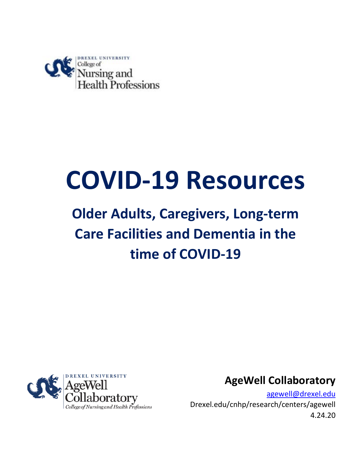

# **COVID-19 Resources**

# **Older Adults, Caregivers, Long-term Care Facilities and Dementia in the time of COVID-19**



**AgeWell Collaboratory**

[agewell@drexel.edu](mailto:agewell@drexel.edu) Drexel.edu/cnhp/research/centers/agewell 4.24.20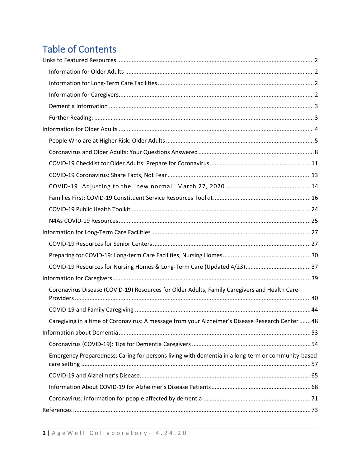# **Table of Contents**

| Coronavirus Disease (COVID-19) Resources for Older Adults, Family Caregivers and Health Care      |  |
|---------------------------------------------------------------------------------------------------|--|
|                                                                                                   |  |
| Caregiving in a time of Coronavirus: A message from your Alzheimer's Disease Research Center 48   |  |
|                                                                                                   |  |
|                                                                                                   |  |
| Emergency Preparedness: Caring for persons living with dementia in a long-term or community-based |  |
|                                                                                                   |  |
|                                                                                                   |  |
|                                                                                                   |  |
|                                                                                                   |  |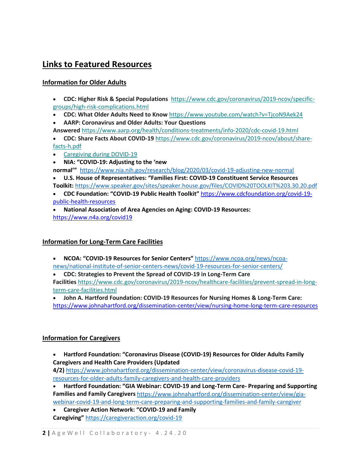# <span id="page-2-0"></span>**Links to Featured Resources**

#### <span id="page-2-1"></span>**Information for Older Adults**

- **CDC: Higher Risk & Special Populations**  [https://www.cdc.gov/coronavirus/2019-ncov/specific](https://nam01.safelinks.protection.outlook.com/?url=https%3A%2F%2Fdrexel.us4.list-manage.com%2Ftrack%2Fclick%3Fu%3D15d8ddde5f96fc486875a60e1%26id%3D01a65f75a4%26e%3D5d81b77a32&data=02%7C01%7Cefy24%40drexel.edu%7C759c6d59061141b9ddf908d7cb74d84a%7C3664e6fa47bd45a696708c4f080f8ca6%7C0%7C0%7C637201575008828425&sdata=hgWoB83X9%2FTlgxtTm%2Fg1xNHmMYRcgPjsnmMxb0QZFdI%3D&reserved=0)[groups/high-risk-complications.html](https://nam01.safelinks.protection.outlook.com/?url=https%3A%2F%2Fdrexel.us4.list-manage.com%2Ftrack%2Fclick%3Fu%3D15d8ddde5f96fc486875a60e1%26id%3D01a65f75a4%26e%3D5d81b77a32&data=02%7C01%7Cefy24%40drexel.edu%7C759c6d59061141b9ddf908d7cb74d84a%7C3664e6fa47bd45a696708c4f080f8ca6%7C0%7C0%7C637201575008828425&sdata=hgWoB83X9%2FTlgxtTm%2Fg1xNHmMYRcgPjsnmMxb0QZFdI%3D&reserved=0)
- **CDC: What Older Adults Need to Know** [https://www.youtube.com/watch?v=TjcoN9Aek24](https://nam01.safelinks.protection.outlook.com/?url=https%3A%2F%2Fdrexel.us4.list-manage.com%2Ftrack%2Fclick%3Fu%3D15d8ddde5f96fc486875a60e1%26id%3Dea04fbaabd%26e%3D5d81b77a32&data=02%7C01%7Cefy24%40drexel.edu%7C759c6d59061141b9ddf908d7cb74d84a%7C3664e6fa47bd45a696708c4f080f8ca6%7C0%7C0%7C637201575008838422&sdata=36KoxGHuT%2Bb0eOJLfBHCTv6Zu2yesFNCBUVkcvuWKfY%3D&reserved=0)
- **AARP: Coronavirus and Older Adults: Your Questions Answered** [https://www.aarp.org/health/conditions-treatments/info-2020/cdc-covid-19.html](https://nam01.safelinks.protection.outlook.com/?url=https%3A%2F%2Fdrexel.us4.list-manage.com%2Ftrack%2Fclick%3Fu%3D15d8ddde5f96fc486875a60e1%26id%3D8898fe81ad%26e%3D5d81b77a32&data=02%7C01%7Cefy24%40drexel.edu%7C759c6d59061141b9ddf908d7cb74d84a%7C3664e6fa47bd45a696708c4f080f8ca6%7C0%7C0%7C637201575008848412&sdata=kfLHmBKhn%2B%2ByRESN%2FSrGas43lbCAtJ332JQxroNRJhw%3D&reserved=0)
- **CDC: Share Facts About COVID-19** [https://www.cdc.gov/coronavirus/2019-ncov/about/share](https://nam01.safelinks.protection.outlook.com/?url=https%3A%2F%2Fdrexel.us4.list-manage.com%2Ftrack%2Fclick%3Fu%3D15d8ddde5f96fc486875a60e1%26id%3Dd48d3e31bc%26e%3D5d81b77a32&data=02%7C01%7Cefy24%40drexel.edu%7C759c6d59061141b9ddf908d7cb74d84a%7C3664e6fa47bd45a696708c4f080f8ca6%7C0%7C0%7C637201575008848412&sdata=zbj3ubHL5a6aVBCg72GIp3xjDsA21%2FsveZtOGv0u3Ak%3D&reserved=0)[facts-h.pdf](https://nam01.safelinks.protection.outlook.com/?url=https%3A%2F%2Fdrexel.us4.list-manage.com%2Ftrack%2Fclick%3Fu%3D15d8ddde5f96fc486875a60e1%26id%3Dd48d3e31bc%26e%3D5d81b77a32&data=02%7C01%7Cefy24%40drexel.edu%7C759c6d59061141b9ddf908d7cb74d84a%7C3664e6fa47bd45a696708c4f080f8ca6%7C0%7C0%7C637201575008848412&sdata=zbj3ubHL5a6aVBCg72GIp3xjDsA21%2FsveZtOGv0u3Ak%3D&reserved=0)
- [Caregiving during DOVID-19](https://nam01.safelinks.protection.outlook.com/?url=https%3A%2F%2Fdrexel.us4.list-manage.com%2Ftrack%2Fclick%3Fu%3D15d8ddde5f96fc486875a60e1%26id%3D1ce07f9641%26e%3D5d81b77a32&data=02%7C01%7Cefy24%40drexel.edu%7C759c6d59061141b9ddf908d7cb74d84a%7C3664e6fa47bd45a696708c4f080f8ca6%7C0%7C0%7C637201575008858409&sdata=sz4AWeBadqV%2B7BmFAUuP2ChDctrN5yBMY0wdKrVHC6U%3D&reserved=0)
- **NIA: "COVID-19: Adjusting to the 'new normal'"** <https://www.nia.nih.gov/research/blog/2020/03/covid-19-adjusting-new-normal>
- **U.S. House of Representatives: "Families First: COVID-19 Constituent Service Resources Toolkit:** <https://www.speaker.gov/sites/speaker.house.gov/files/COVID%20TOOLKIT%203.30.20.pdf>
- **CDC Foundation: "COVID-19 Public Health Toolkit"** [https://www.cdcfoundation.org/covid-19](https://www.cdcfoundation.org/covid-19-public-health-resources) [public-health-resources](https://www.cdcfoundation.org/covid-19-public-health-resources)

• **National Association of Area Agencies on Aging: COVID-19 Resources:**  <https://www.n4a.org/covid19>

#### <span id="page-2-2"></span>**Information for Long-Term Care Facilities**

• **NCOA: "COVID-19 Resources for Senior Centers"** [https://www.ncoa.org/news/ncoa](https://www.ncoa.org/news/ncoa-news/national-institute-of-senior-centers-news/covid-19-resources-for-senior-centers/)[news/national-institute-of-senior-centers-news/covid-19-resources-for-senior-centers/](https://www.ncoa.org/news/ncoa-news/national-institute-of-senior-centers-news/covid-19-resources-for-senior-centers/)

• **CDC: Strategies to Prevent the Spread of COVID-19 in Long-Term Care Facilities** [https://www.cdc.gov/coronavirus/2019-ncov/healthcare-facilities/prevent-spread-in-long](https://nam01.safelinks.protection.outlook.com/?url=https%3A%2F%2Fdrexel.us4.list-manage.com%2Ftrack%2Fclick%3Fu%3D15d8ddde5f96fc486875a60e1%26id%3D4289ea659c%26e%3D5d81b77a32&data=02%7C01%7Cefy24%40drexel.edu%7C759c6d59061141b9ddf908d7cb74d84a%7C3664e6fa47bd45a696708c4f080f8ca6%7C0%7C0%7C637201575008838422&sdata=PHuCU8aNMGcdQy7ODZbYgZYwU0FAQZauGT8ghqG3198%3D&reserved=0)[term-care-facilities.html](https://nam01.safelinks.protection.outlook.com/?url=https%3A%2F%2Fdrexel.us4.list-manage.com%2Ftrack%2Fclick%3Fu%3D15d8ddde5f96fc486875a60e1%26id%3D4289ea659c%26e%3D5d81b77a32&data=02%7C01%7Cefy24%40drexel.edu%7C759c6d59061141b9ddf908d7cb74d84a%7C3664e6fa47bd45a696708c4f080f8ca6%7C0%7C0%7C637201575008838422&sdata=PHuCU8aNMGcdQy7ODZbYgZYwU0FAQZauGT8ghqG3198%3D&reserved=0)

• **John A. Hartford Foundation: COVID-19 Resources for Nursing Homes & Long-Term Care:** <https://www.johnahartford.org/dissemination-center/view/nursing-home-long-term-care-resources>

#### <span id="page-2-3"></span>**Information for Caregivers**

• **Hartford Foundation: "Coronavirus Disease (COVID-19) Resources for Older Adults Family Caregivers and Health Care Providers (Updated** 

**4/2)** [https://www.johnahartford.org/dissemination-center/view/coronavirus-disease-covid-19](https://www.johnahartford.org/dissemination-center/view/coronavirus-disease-covid-19-resources-for-older-adults-family-caregivers-and-health-care-providers) [resources-for-older-adults-family-caregivers-and-health-care-providers](https://www.johnahartford.org/dissemination-center/view/coronavirus-disease-covid-19-resources-for-older-adults-family-caregivers-and-health-care-providers)

• **Hartford Foundation: "GIA Webinar: COVID-19 and Long-Term Care- Preparing and Supporting Families and Family Caregivers** [https://www.johnahartford.org/dissemination-center/view/gia](https://www.johnahartford.org/dissemination-center/view/gia-webinar-covid-19-and-long-term-care-preparing-and-supporting-families-and-family-caregiver)[webinar-covid-19-and-long-term-care-preparing-and-supporting-families-and-family-caregiver](https://www.johnahartford.org/dissemination-center/view/gia-webinar-covid-19-and-long-term-care-preparing-and-supporting-families-and-family-caregiver)

• **Caregiver Action Network: "COVID-19 and Family Caregiving"** <https://caregiveraction.org/covid-19>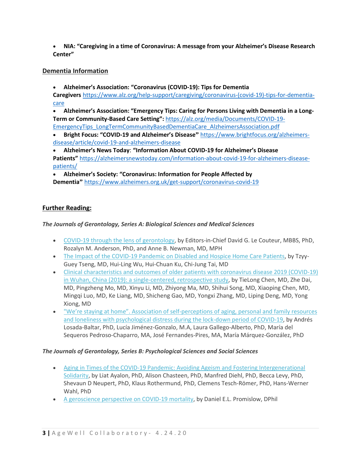• **NIA: "Caregiving in a time of Coronavirus: A message from your Alzheimer's Disease Research Center"** 

#### <span id="page-3-0"></span>**Dementia Information**

• **Alzheimer's Association: "Coronavirus (COVID-19): Tips for Dementia** 

**Caregivers** [https://www.alz.org/help-support/caregiving/coronavirus-\(covid-19\)-tips-for-dementia](https://www.alz.org/help-support/caregiving/coronavirus-(covid-19)-tips-for-dementia-care)[care](https://www.alz.org/help-support/caregiving/coronavirus-(covid-19)-tips-for-dementia-care)

• **Alzheimer's Association: "Emergency Tips: Caring for Persons Living with Dementia in a Long-Term or Community-Based Care Setting":** [https://alz.org/media/Documents/COVID-19-](https://alz.org/media/Documents/COVID-19-EmergencyTips_LongTermCommunityBasedDementiaCare_AlzheimersAssociation.pdf) [EmergencyTips\\_LongTermCommunityBasedDementiaCare\\_AlzheimersAssociation.pdf](https://alz.org/media/Documents/COVID-19-EmergencyTips_LongTermCommunityBasedDementiaCare_AlzheimersAssociation.pdf)

• **Bright Focus: "COVID-19 and Alzheimer's Disease"** [https://www.brightfocus.org/alzheimers](https://www.brightfocus.org/alzheimers-disease/article/covid-19-and-alzheimers-disease)[disease/article/covid-19-and-alzheimers-disease](https://www.brightfocus.org/alzheimers-disease/article/covid-19-and-alzheimers-disease)

• **Alzheimer's News Today**: **"Information About COVID-19 for Alzheimer's Disease Patients"** [https://alzheimersnewstoday.com/information-about-covid-19-for-alzheimers-disease](https://alzheimersnewstoday.com/information-about-covid-19-for-alzheimers-disease-patients/)[patients/](https://alzheimersnewstoday.com/information-about-covid-19-for-alzheimers-disease-patients/)

• **Alzheimer's Society: "Coronavirus: Information for People Affected by Dementia"** <https://www.alzheimers.org.uk/get-support/coronavirus-covid-19>

#### <span id="page-3-1"></span>**Further Reading:**

#### *The Journals of Gerontology, Series A: Biological Sciences and Medical Sciences*

- [COVID-19 through the lens of gerontology,](https://nam01.safelinks.protection.outlook.com/?url=https%3A%2F%2Fsecure.geron.org%2Fcvweb%2Flt%2F%3Fhttps%3A%2F%2Fdoi.org%2F10.1093%2Fgerona%2Fglaa077%3D%3DED2CAD7F-5CFC-4FBE-9E45-6CC4A7494574%2FREALCOVIDMESSAGE2&data=02%7C01%7Cefy24%40drexel.edu%7Cd55e20423f724aaeb9de08d7e7a16b74%7C3664e6fa47bd45a696708c4f080f8ca6%7C0%7C0%7C637232552784962129&sdata=81DQCb1HkCFoC9sXUI7QbuZcoW7lVGGpGVGXl4cHXZI%3D&reserved=0) by Editors-in-Chief David G. Le Couteur, MBBS, PhD, Rozalyn M. Anderson, PhD, and Anne B. Newman, MD, MPH
- [The Impact of the COVID-19 Pandemic on Disabled and Hospice Home Care Patients,](https://nam01.safelinks.protection.outlook.com/?url=https%3A%2F%2Fsecure.geron.org%2Fcvweb%2Flt%2F%3Fhttps%3A%2F%2Fdoi.org%2F10.1093%2Fgerona%2Fglaa081%3D%3DED2CAD7F-5CFC-4FBE-9E45-6CC4A7494574%2FREALCOVIDMESSAGE2&data=02%7C01%7Cefy24%40drexel.edu%7Cd55e20423f724aaeb9de08d7e7a16b74%7C3664e6fa47bd45a696708c4f080f8ca6%7C0%7C0%7C637232552784972127&sdata=Etg7jZyFFKmfM3%2FiItwSKghSIaqCair1%2FPGAj6%2FYzK0%3D&reserved=0) by Tzyy-Guey Tseng, MD, Hui-Ling Wu, Hui-Chuan Ku, Chi-Jung Tai, MD
- [Clinical characteristics and outcomes of older patients with coronavirus disease 2019 \(COVID-19\)](https://nam01.safelinks.protection.outlook.com/?url=https%3A%2F%2Fsecure.geron.org%2Fcvweb%2Flt%2F%3Fhttps%3A%2F%2Facademic.oup.com%2Fbiomedgerontology%2Farticle%2Fdoi%2F10.1093%2Fgerona%2Fglaa089%2F5819242%3D%3DED2CAD7F-5CFC-4FBE-9E45-6CC4A7494574%2FREALCOVIDMESSAGE2&data=02%7C01%7Cefy24%40drexel.edu%7Cd55e20423f724aaeb9de08d7e7a16b74%7C3664e6fa47bd45a696708c4f080f8ca6%7C0%7C0%7C637232552784972127&sdata=gdu6Y5vCO0i9sRbRZPUS7kgfaQY%2Bn%2BcdPilEf7gSFDs%3D&reserved=0)  [in Wuhan, China \(2019\): a single-centered, retrospective study,](https://nam01.safelinks.protection.outlook.com/?url=https%3A%2F%2Fsecure.geron.org%2Fcvweb%2Flt%2F%3Fhttps%3A%2F%2Facademic.oup.com%2Fbiomedgerontology%2Farticle%2Fdoi%2F10.1093%2Fgerona%2Fglaa089%2F5819242%3D%3DED2CAD7F-5CFC-4FBE-9E45-6CC4A7494574%2FREALCOVIDMESSAGE2&data=02%7C01%7Cefy24%40drexel.edu%7Cd55e20423f724aaeb9de08d7e7a16b74%7C3664e6fa47bd45a696708c4f080f8ca6%7C0%7C0%7C637232552784972127&sdata=gdu6Y5vCO0i9sRbRZPUS7kgfaQY%2Bn%2BcdPilEf7gSFDs%3D&reserved=0) by TieLong Chen, MD, Zhe Dai, MD, Pingzheng Mo, MD, Xinyu Li, MD, Zhiyong Ma, MD, Shihui Song, MD, Xiaoping Chen, MD, Mingqi Luo, MD, Ke Liang, MD, Shicheng Gao, MD, Yongxi Zhang, MD, Liping Deng, MD, Yong Xiong, MD
- ["We're staying at home". Association of self-perceptions of aging, personal and family resources](https://nam01.safelinks.protection.outlook.com/?url=https%3A%2F%2Fsecure.geron.org%2Fcvweb%2Flt%2F%3Fhttps%3A%2F%2Facademic.oup.com%2Fpsychsocgerontology%2Farticle%2Fdoi%2F10.1093%2Fgeronb%2Fgbaa048%2F5819592%3D%3DED2CAD7F-5CFC-4FBE-9E45-6CC4A7494574%2FREALCOVIDMESSAGE2&data=02%7C01%7Cefy24%40drexel.edu%7Cd55e20423f724aaeb9de08d7e7a16b74%7C3664e6fa47bd45a696708c4f080f8ca6%7C0%7C0%7C637232552784982121&sdata=%2BpDwKxrMfn5BALM68%2FEhUvl12CN8IsXA2bGY4t4v%2BN0%3D&reserved=0)  [and loneliness with psychological distress during the lock-down period of COVID-19,](https://nam01.safelinks.protection.outlook.com/?url=https%3A%2F%2Fsecure.geron.org%2Fcvweb%2Flt%2F%3Fhttps%3A%2F%2Facademic.oup.com%2Fpsychsocgerontology%2Farticle%2Fdoi%2F10.1093%2Fgeronb%2Fgbaa048%2F5819592%3D%3DED2CAD7F-5CFC-4FBE-9E45-6CC4A7494574%2FREALCOVIDMESSAGE2&data=02%7C01%7Cefy24%40drexel.edu%7Cd55e20423f724aaeb9de08d7e7a16b74%7C3664e6fa47bd45a696708c4f080f8ca6%7C0%7C0%7C637232552784982121&sdata=%2BpDwKxrMfn5BALM68%2FEhUvl12CN8IsXA2bGY4t4v%2BN0%3D&reserved=0) by Andrés Losada-Baltar, PhD, Lucía Jiménez-Gonzalo, M.A, Laura Gallego-Alberto, PhD, María del Sequeros Pedroso-Chaparro, MA, José Fernandes-Pires, MA, María Márquez-González, PhD

#### *The Journals of Gerontology, Series B: Psychological Sciences and Social Sciences*

- [Aging in Times of the COVID-19 Pandemic: Avoiding Ageism and Fostering Intergenerational](https://nam01.safelinks.protection.outlook.com/?url=https%3A%2F%2Fsecure.geron.org%2Fcvweb%2Flt%2F%3Fhttps%3A%2F%2Fdoi.org%2F10.1093%2Fgeronb%2Fgbaa051%3D%3DED2CAD7F-5CFC-4FBE-9E45-6CC4A7494574%2FREALCOVIDMESSAGE2&data=02%7C01%7Cefy24%40drexel.edu%7Cd55e20423f724aaeb9de08d7e7a16b74%7C3664e6fa47bd45a696708c4f080f8ca6%7C0%7C0%7C637232552784982121&sdata=8UEV%2BsFOPV6NeHfe4F%2FZV%2F7AGZGYQcu9Ek6BuFVByU8%3D&reserved=0)  [Solidarity,](https://nam01.safelinks.protection.outlook.com/?url=https%3A%2F%2Fsecure.geron.org%2Fcvweb%2Flt%2F%3Fhttps%3A%2F%2Fdoi.org%2F10.1093%2Fgeronb%2Fgbaa051%3D%3DED2CAD7F-5CFC-4FBE-9E45-6CC4A7494574%2FREALCOVIDMESSAGE2&data=02%7C01%7Cefy24%40drexel.edu%7Cd55e20423f724aaeb9de08d7e7a16b74%7C3664e6fa47bd45a696708c4f080f8ca6%7C0%7C0%7C637232552784982121&sdata=8UEV%2BsFOPV6NeHfe4F%2FZV%2F7AGZGYQcu9Ek6BuFVByU8%3D&reserved=0) by Liat Ayalon, PhD, Alison Chasteen, PhD, Manfred Diehl, PhD, Becca Levy, PhD, Shevaun D Neupert, PhD, Klaus Rothermund, PhD, Clemens Tesch-Römer, PhD, Hans-Werner Wahl, PhD
- [A geroscience perspective on COVID-19 mortality,](https://nam01.safelinks.protection.outlook.com/?url=https%3A%2F%2Fsecure.geron.org%2Fcvweb%2Flt%2F%3Fhttps%3A%2F%2Fdoi.org%2F10.1093%2Fgerona%2Fglaa094%3D%3DED2CAD7F-5CFC-4FBE-9E45-6CC4A7494574%2FREALCOVIDMESSAGE2&data=02%7C01%7Cefy24%40drexel.edu%7Cd55e20423f724aaeb9de08d7e7a16b74%7C3664e6fa47bd45a696708c4f080f8ca6%7C0%7C0%7C637232552784992116&sdata=Eho%2BYEnUwE%2FiCw9zkAdwEdsDmgWnzazVD%2Fn7DUFKr%2FU%3D&reserved=0) by Daniel E.L. Promislow, DPhil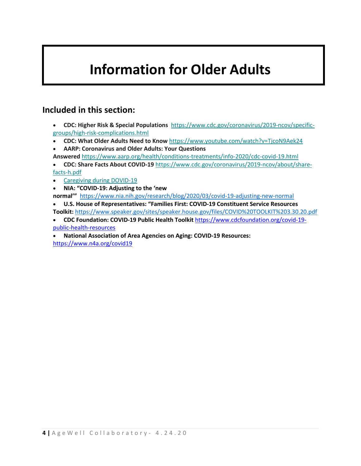# <span id="page-4-0"></span>**Information for Older Adults**

### **Included in this section:**

- **CDC: Higher Risk & Special Populations**  [https://www.cdc.gov/coronavirus/2019-ncov/specific](https://nam01.safelinks.protection.outlook.com/?url=https%3A%2F%2Fdrexel.us4.list-manage.com%2Ftrack%2Fclick%3Fu%3D15d8ddde5f96fc486875a60e1%26id%3D01a65f75a4%26e%3D5d81b77a32&data=02%7C01%7Cefy24%40drexel.edu%7C759c6d59061141b9ddf908d7cb74d84a%7C3664e6fa47bd45a696708c4f080f8ca6%7C0%7C0%7C637201575008828425&sdata=hgWoB83X9%2FTlgxtTm%2Fg1xNHmMYRcgPjsnmMxb0QZFdI%3D&reserved=0)[groups/high-risk-complications.html](https://nam01.safelinks.protection.outlook.com/?url=https%3A%2F%2Fdrexel.us4.list-manage.com%2Ftrack%2Fclick%3Fu%3D15d8ddde5f96fc486875a60e1%26id%3D01a65f75a4%26e%3D5d81b77a32&data=02%7C01%7Cefy24%40drexel.edu%7C759c6d59061141b9ddf908d7cb74d84a%7C3664e6fa47bd45a696708c4f080f8ca6%7C0%7C0%7C637201575008828425&sdata=hgWoB83X9%2FTlgxtTm%2Fg1xNHmMYRcgPjsnmMxb0QZFdI%3D&reserved=0)
- **CDC: What Older Adults Need to Know** [https://www.youtube.com/watch?v=TjcoN9Aek24](https://nam01.safelinks.protection.outlook.com/?url=https%3A%2F%2Fdrexel.us4.list-manage.com%2Ftrack%2Fclick%3Fu%3D15d8ddde5f96fc486875a60e1%26id%3Dea04fbaabd%26e%3D5d81b77a32&data=02%7C01%7Cefy24%40drexel.edu%7C759c6d59061141b9ddf908d7cb74d84a%7C3664e6fa47bd45a696708c4f080f8ca6%7C0%7C0%7C637201575008838422&sdata=36KoxGHuT%2Bb0eOJLfBHCTv6Zu2yesFNCBUVkcvuWKfY%3D&reserved=0)
- **AARP: Coronavirus and Older Adults: Your Questions**
- **Answered** [https://www.aarp.org/health/conditions-treatments/info-2020/cdc-covid-19.html](https://nam01.safelinks.protection.outlook.com/?url=https%3A%2F%2Fdrexel.us4.list-manage.com%2Ftrack%2Fclick%3Fu%3D15d8ddde5f96fc486875a60e1%26id%3D8898fe81ad%26e%3D5d81b77a32&data=02%7C01%7Cefy24%40drexel.edu%7C759c6d59061141b9ddf908d7cb74d84a%7C3664e6fa47bd45a696708c4f080f8ca6%7C0%7C0%7C637201575008848412&sdata=kfLHmBKhn%2B%2ByRESN%2FSrGas43lbCAtJ332JQxroNRJhw%3D&reserved=0)
- **CDC: Share Facts About COVID-19** [https://www.cdc.gov/coronavirus/2019-ncov/about/share](https://nam01.safelinks.protection.outlook.com/?url=https%3A%2F%2Fdrexel.us4.list-manage.com%2Ftrack%2Fclick%3Fu%3D15d8ddde5f96fc486875a60e1%26id%3Dd48d3e31bc%26e%3D5d81b77a32&data=02%7C01%7Cefy24%40drexel.edu%7C759c6d59061141b9ddf908d7cb74d84a%7C3664e6fa47bd45a696708c4f080f8ca6%7C0%7C0%7C637201575008848412&sdata=zbj3ubHL5a6aVBCg72GIp3xjDsA21%2FsveZtOGv0u3Ak%3D&reserved=0)[facts-h.pdf](https://nam01.safelinks.protection.outlook.com/?url=https%3A%2F%2Fdrexel.us4.list-manage.com%2Ftrack%2Fclick%3Fu%3D15d8ddde5f96fc486875a60e1%26id%3Dd48d3e31bc%26e%3D5d81b77a32&data=02%7C01%7Cefy24%40drexel.edu%7C759c6d59061141b9ddf908d7cb74d84a%7C3664e6fa47bd45a696708c4f080f8ca6%7C0%7C0%7C637201575008848412&sdata=zbj3ubHL5a6aVBCg72GIp3xjDsA21%2FsveZtOGv0u3Ak%3D&reserved=0)
- [Caregiving during DOVID-19](https://nam01.safelinks.protection.outlook.com/?url=https%3A%2F%2Fdrexel.us4.list-manage.com%2Ftrack%2Fclick%3Fu%3D15d8ddde5f96fc486875a60e1%26id%3D1ce07f9641%26e%3D5d81b77a32&data=02%7C01%7Cefy24%40drexel.edu%7C759c6d59061141b9ddf908d7cb74d84a%7C3664e6fa47bd45a696708c4f080f8ca6%7C0%7C0%7C637201575008858409&sdata=sz4AWeBadqV%2B7BmFAUuP2ChDctrN5yBMY0wdKrVHC6U%3D&reserved=0)
- **NIA: "COVID-19: Adjusting to the 'new**

**normal'"** <https://www.nia.nih.gov/research/blog/2020/03/covid-19-adjusting-new-normal>

- **U.S. House of Representatives: "Families First: COVID-19 Constituent Service Resources**
- **Toolkit:** <https://www.speaker.gov/sites/speaker.house.gov/files/COVID%20TOOLKIT%203.30.20.pdf>
- **CDC Foundation: COVID-19 Public Health Toolkit** [https://www.cdcfoundation.org/covid-19](https://www.cdcfoundation.org/covid-19-public-health-resources) [public-health-resources](https://www.cdcfoundation.org/covid-19-public-health-resources)
- **National Association of Area Agencies on Aging: COVID-19 Resources:**  <https://www.n4a.org/covid19>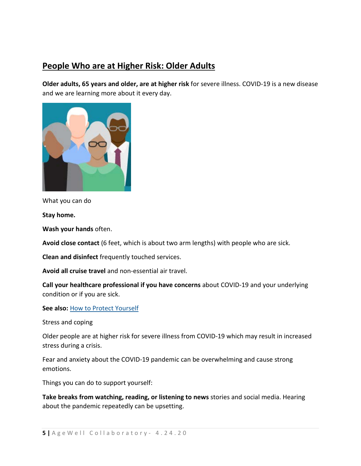# <span id="page-5-0"></span>**People Who are at Higher Risk: Older Adults**

**Older adults, 65 years and older, are at higher risk** for severe illness. COVID-19 is a new disease and we are learning more about it every day.



What you can do

**Stay home.**

**Wash your hands** often.

**Avoid close contact** (6 feet, which is about two arm lengths) with people who are sick.

**Clean and disinfect** frequently touched services.

**Avoid all cruise travel** and non-essential air travel.

**Call your healthcare professional if you have concerns** about COVID-19 and your underlying condition or if you are sick.

**See also:** [How to Protect Yourself](https://www.cdc.gov/coronavirus/2019-ncov/prevent-getting-sick/prevention.html)

Stress and coping

Older people are at higher risk for severe illness from COVID-19 which may result in increased stress during a crisis.

Fear and anxiety about the COVID-19 pandemic can be overwhelming and cause strong emotions.

Things you can do to support yourself:

**Take breaks from watching, reading, or listening to news** stories and social media. Hearing about the pandemic repeatedly can be upsetting.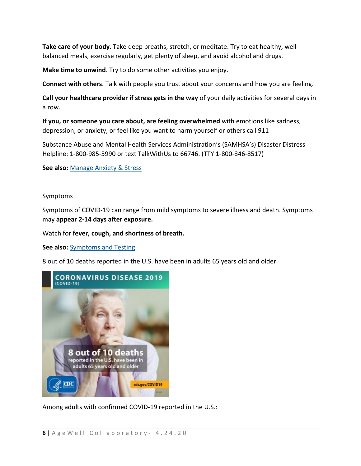**Take care of your body**. Take deep breaths, stretch, or meditate. Try to eat healthy, wellbalanced meals, exercise regularly, get plenty of sleep, and avoid alcohol and drugs.

**Make time to unwind**. Try to do some other activities you enjoy.

**Connect with others**. Talk with people you trust about your concerns and how you are feeling.

**Call your healthcare provider if stress gets in the way** of your daily activities for several days in a row.

**If you, or someone you care about, are feeling overwhelmed** with emotions like sadness, depression, or anxiety, or feel like you want to harm yourself or others call 911

Substance Abuse and Mental Health Services Administration's (SAMHSA's) Disaster Distress Helpline: 1-800-985-5990 or text TalkWithUs to 66746. (TTY 1-800-846-8517)

**See also:** [Manage Anxiety & Stress](https://www.cdc.gov/coronavirus/2019-ncov/daily-life-coping/managing-stress-anxiety.html)

#### Symptoms

Symptoms of COVID-19 can range from mild symptoms to severe illness and death. Symptoms may **appear 2-14 days after exposure.**

Watch for **fever, cough, and shortness of breath.**

**See also:** [Symptoms and Testing](https://www.cdc.gov/coronavirus/2019-ncov/symptoms-testing/symptoms.html)

8 out of 10 deaths reported in the U.S. have been in adults 65 years old and older



Among adults with confirmed COVID-19 reported in the U.S.: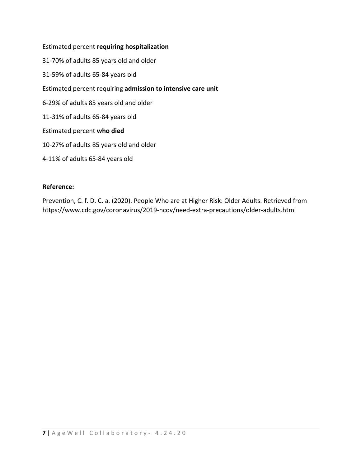#### Estimated percent **requiring hospitalization**

- 31-70% of adults 85 years old and older
- 31-59% of adults 65-84 years old
- Estimated percent requiring **admission to intensive care unit**
- 6-29% of adults 85 years old and older
- 11-31% of adults 65-84 years old
- Estimated percent **who died**
- 10-27% of adults 85 years old and older
- 4-11% of adults 65-84 years old

#### **Reference:**

Prevention, C. f. D. C. a. (2020). People Who are at Higher Risk: Older Adults. Retrieved from https://www.cdc.gov/coronavirus/2019-ncov/need-extra-precautions/older-adults.html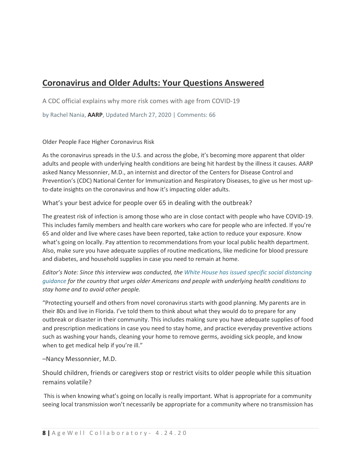# <span id="page-8-0"></span>**Coronavirus and Older Adults: Your Questions Answered**

A CDC official explains why more risk comes with age from COVID-19

by Rachel Nania, **[AARP](https://www.aarp.org/)**, Updated March 27, 2020 | Comments: 66

Older People Face Higher Coronavirus Risk

As the coronavirus spreads in the U.S. and across the globe, it's becoming more apparent that older adults and people with underlying health conditions are being hit hardest by the illness it causes. AARP asked Nancy Messonnier, M.D., an internist and director of the Centers for Disease Control and Prevention's (CDC) National Center for Immunization and Respiratory Diseases, to give us her most upto-date insights on the coronavirus and how it's impacting older adults.

What's your best advice for people over 65 in dealing with the outbreak?

The greatest risk of infection is among those who are in close contact with people who have COVID-19. This includes family members and health care workers who care for people who are infected. If you're 65 and older and live where cases have been reported, take action to reduce your exposure. Know what's going on locally. Pay attention to recommendations from your local public health department. Also, make sure you have adequate supplies of routine medications, like medicine for blood pressure and diabetes, and household supplies in case you need to remain at home.

*Editor's Note: Since this interview was conducted, the [White House has issued specific social distancing](https://www.whitehouse.gov/wp-content/uploads/2020/03/03.16.20_coronavirus-guidance_8.5x11_315PM.pdf)  [guidance](https://www.whitehouse.gov/wp-content/uploads/2020/03/03.16.20_coronavirus-guidance_8.5x11_315PM.pdf) for the country that urges older Americans and people with underlying health conditions to stay home and to avoid other people.*

"Protecting yourself and others from novel coronavirus starts with good planning. My parents are in their 80s and live in Florida. I've told them to think about what they would do to prepare for any outbreak or disaster in their community. This includes making sure you have adequate supplies of food and prescription medications in case you need to stay home, and practice everyday preventive actions such as washing your hands, cleaning your home to remove germs, avoiding sick people, and know when to get medical help if you're ill."

–Nancy Messonnier, M.D.

Should children, friends or caregivers stop or restrict visits to older people while this situation remains volatile?

This is when knowing what's going on locally is really important. What is appropriate for a community seeing local transmission won't necessarily be appropriate for a community where no transmission has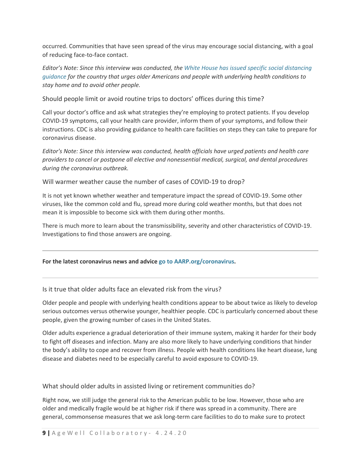occurred. Communities that have seen spread of the virus may encourage social distancing, with a goal of reducing face-to-face contact.

*Editor's Note: Since this interview was conducted, the [White House has issued specific social distancing](https://www.whitehouse.gov/wp-content/uploads/2020/03/03.16.20_coronavirus-guidance_8.5x11_315PM.pdf)  [guidance](https://www.whitehouse.gov/wp-content/uploads/2020/03/03.16.20_coronavirus-guidance_8.5x11_315PM.pdf) for the country that urges older Americans and people with underlying health conditions to stay home and to avoid other people.*

Should people limit or avoid routine trips to doctors' offices during this time?

Call your doctor's office and ask what strategies they're employing to protect patients. If you develop COVID-19 symptoms, call your health care provider, inform them of your symptoms, and follow their instructions. CDC is also providing guidance to health care facilities on steps they can take to prepare for coronavirus disease.

*Editor's Note: Since this interview was conducted, health officials have urged patients and health care providers to cancel or postpone all elective and nonessential medical, surgical, and dental procedures during the coronavirus outbreak.*

Will warmer weather cause the number of cases of COVID-19 to drop?

It is not yet known whether weather and temperature impact the spread of COVID-19. Some other viruses, like the common cold and flu, spread more during cold weather months, but that does not mean it is impossible to become sick with them during other months.

There is much more to learn about the transmissibility, severity and other characteristics of COVID-19. Investigations to find those answers are ongoing.

#### **For the latest coronavirus news and advice [go to AARP.org/coronavirus.](https://www.aarp.org/health/)**

Is it true that older adults face an elevated risk from the virus?

Older people and people with underlying health conditions appear to be about twice as likely to develop serious outcomes versus otherwise younger, healthier people. CDC is particularly concerned about these people, given the growing number of cases in the United States.

Older adults experience a gradual deterioration of their immune system, making it harder for their body to fight off diseases and infection. Many are also more likely to have underlying conditions that hinder the body's ability to cope and recover from illness. People with health conditions like heart disease, lung disease and diabetes need to be especially careful to avoid exposure to COVID-19.

What should older adults in assisted living or retirement communities do?

Right now, we still judge the general risk to the American public to be low. However, those who are older and medically fragile would be at higher risk if there was spread in a community. There are general, commonsense measures that we ask long-term care facilities to do to make sure to protect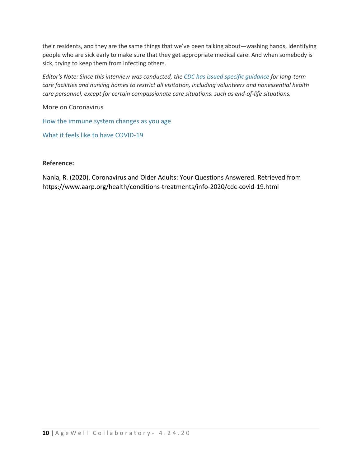their residents, and they are the same things that we've been talking about—washing hands, identifying people who are sick early to make sure that they get appropriate medical care. And when somebody is sick, trying to keep them from infecting others.

*Editor's Note: Since this interview was conducted, the [CDC has issued specific guidance](https://www.cdc.gov/coronavirus/2019-ncov/healthcare-facilities/prevent-spread-in-long-term-care-facilities.html) for long-term care facilities and nursing homes to restrict all visitation, including volunteers and nonessential health care personnel, except for certain compassionate care situations, such as end-of-life situations.*

More on Coronavirus

[How the immune system changes as you age](https://www.aarp.org/health/conditions-treatments/info-2020/coronavirus-severe-seniors.html)

[What it feels like to have COVID-19](https://www.aarp.org/health/conditions-treatments/info-2020/covid19-symptoms.html)

#### **Reference:**

Nania, R. (2020). Coronavirus and Older Adults: Your Questions Answered. Retrieved from https://www.aarp.org/health/conditions-treatments/info-2020/cdc-covid-19.html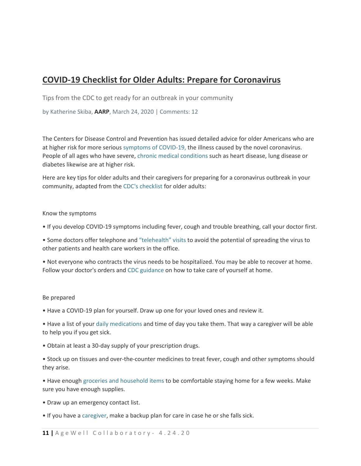# <span id="page-11-0"></span>**COVID-19 Checklist for Older Adults: Prepare for Coronavirus**

Tips from the CDC to get ready for an outbreak in your community

by Katherine Skiba, **[AARP](https://www.aarp.org/)**, March 24, 2020 | Comments: 12

The Centers for Disease Control and Prevention has issued detailed advice for older Americans who are at higher risk for more serious [symptoms of COVID-19,](https://www.aarp.org/health/conditions-treatments/info-2020/covid19-symptoms.html) the illness caused by the novel coronavirus. People of all ages who have severe, [chronic medical conditions](https://www.aarp.org/health/conditions-treatments/info-2020/chronic-conditions-coronavirus.html) such as heart disease, lung disease or diabetes likewise are at higher risk.

Here are key tips for older adults and their caregivers for preparing for a coronavirus outbreak in your community, adapted from the [CDC's checklist](https://www.cdc.gov/coronavirus/2019-ncov/community/retirement/checklist.html) for older adults:

#### Know the symptoms

• If you develop COVID-19 symptoms including fever, cough and trouble breathing, call your doctor first.

• Some doctors offer telephone and ["telehealth" visits](https://www.aarp.org/health/conditions-treatments/info-2020/benefits-telehealth-medicare.html) to avoid the potential of spreading the virus to other patients and health care workers in the office.

• Not everyone who contracts the virus needs to be hospitalized. You may be able to recover at home. Follow your doctor's orders and [CDC guidance](https://www.cdc.gov/coronavirus/2019-ncov/if-you-are-sick/caring-for-yourself-at-home.html) on how to take care of yourself at home.

#### Be prepared

• Have a COVID-19 plan for yourself. Draw up one for your loved ones and review it.

• Have a list of your [daily medications](https://www.cdc.gov/aging/caregiving/pdf/Complete-Care-Plan-Form-508.pdf) and time of day you take them. That way a caregiver will be able to help you if you get sick.

• Obtain at least a 30-day supply of your prescription drugs.

• Stock up on tissues and over-the-counter medicines to treat fever, cough and other symptoms should they arise.

• Have enough [groceries and household items](https://www.aarp.org/home-family/your-home/info-2020/coronavirus-supermarkets.html) to be comfortable staying home for a few weeks. Make sure you have enough supplies.

- Draw up an emergency contact list.
- If you have a [caregiver,](https://www.aarp.org/caregiving/basics/info-2020/coronavirus-tips-for-caregivers.html) make a backup plan for care in case he or she falls sick.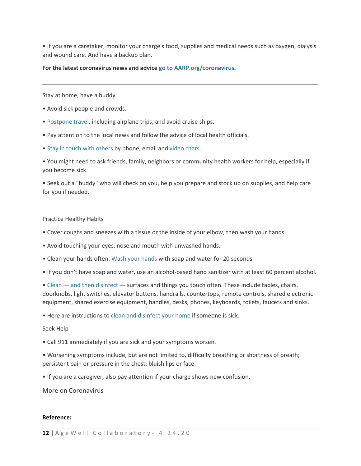• If you are a caretaker, monitor your charge's food, supplies and medical needs such as oxygen, dialysis and wound care. And have a backup plan.

#### **For the latest coronavirus news and advice [go to AARP.org/coronavirus.](https://www.aarp.org/health/)**

Stay at home, have a buddy

- Avoid sick people and crowds.
- [Postpone travel,](https://www.aarp.org/travel/travel-tips/safety/info-2020/coronavirus-and-travel.html) including airplane trips, and avoid cruise ships.
- Pay attention to the local news and follow the advice of local health officials.
- [Stay in touch with others](https://www.aarp.org/health/conditions-treatments/info-2020/coronavirus-social-isolation-loneliness.html) by phone, email and [video chats.](https://www.aarp.org/home-family/personal-technology/info-2019/how-to-facetime.html)

• You might need to ask friends, family, neighbors or community health workers for help, especially if you become sick.

• Seek out a "buddy" who will check on you, help you prepare and stock up on supplies, and help care for you if needed.

#### Practice Healthy Habits

- Cover coughs and sneezes with a tissue or the inside of your elbow, then wash your hands.
- Avoid touching your eyes, nose and mouth with unwashed hands.
- Clean your hands often. [Wash your hands](https://videos.aarp.org/detail/video/6141675631001/how-to-wash-your-hands-the-right-way) with soap and water for 20 seconds.
- If you don't have soap and water, use an alcohol-based hand sanitizer with at least 60 percent alcohol.
- Clean [and then disinfect](https://www.cdc.gov/coronavirus/2019-ncov/prepare/cleaning-disinfection.html?CDC_AA_refVal=https%3A%2F%2Fwww.cdc.gov%2Fcoronavirus%2F2019-ncov%2Fcommunity%2Fhome%2Fcleaning-disinfection.html) surfaces and things you touch often. These include tables, chairs, doorknobs, light switches, elevator buttons, handrails, countertops, remote controls, shared electronic equipment, shared exercise equipment, handles, desks, phones, keyboards, toilets, faucets and sinks.

• Here are instructions to [clean and disinfect your home](https://www.cdc.gov/coronavirus/2019-ncov/prepare/disinfecting-your-home.html) if someone is sick.

#### Seek Help

- Call 911 immediately if you are sick and your symptoms worsen.
- Worsening symptoms include, but are not limited to, difficulty breathing or shortness of breath; persistent pain or pressure in the chest; bluish lips or face.
- If you are a caregiver, also pay attention if your charge shows new confusion.

More on Coronavirus

#### **Reference:**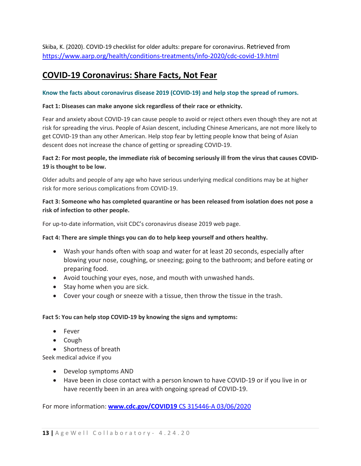Skiba, K. (2020). COVID-19 checklist for older adults: prepare for coronavirus. Retrieved from <https://www.aarp.org/health/conditions-treatments/info-2020/cdc-covid-19.html>

# <span id="page-13-0"></span>**COVID-19 Coronavirus: Share Facts, Not Fear**

#### Know the facts about coronavirus disease 2019 (COVID-19) and help stop the spread of rumors.

#### **Fact 1: Diseases can make anyone sick regardless of their race or ethnicity.**

Fear and anxiety about COVID-19 can cause people to avoid or reject others even though they are not at risk for spreading the virus. People of Asian descent, including Chinese Americans, are not more likely to get COVID-19 than any other American. Help stop fear by letting people know that being of Asian descent does not increase the chance of getting or spreading COVID-19.

#### **Fact 2: For most people, the immediate risk of becoming seriously ill from the virus that causes COVID-19 is thought to be low.**

Older adults and people of any age who have serious underlying medical conditions may be at higher risk for more serious complications from COVID-19.

#### **Fact 3: Someone who has completed quarantine or has been released from isolation does not pose a risk of infection to other people.**

For up-to-date information, visit CDC's coronavirus disease 2019 web page.

#### **Fact 4: There are simple things you can do to help keep yourself and others healthy.**

- Wash your hands often with soap and water for at least 20 seconds, especially after blowing your nose, coughing, or sneezing; going to the bathroom; and before eating or preparing food.
- Avoid touching your eyes, nose, and mouth with unwashed hands.
- Stay home when you are sick.
- Cover your cough or sneeze with a tissue, then throw the tissue in the trash.

#### **Fact 5: You can help stop COVID-19 by knowing the signs and symptoms:**

- Fever
- Cough
- Shortness of breath

Seek medical advice if you

- Develop symptoms AND
- Have been in close contact with a person known to have COVID-19 or if you live in or have recently been in an area with ongoing spread of COVID-19.

For more information: **www.cdc.gov/COVID19** [CS 315446-A 03/06/2020](http://www.cdc.gov/COVID19%20CS%20315446-A%2003/06/2020)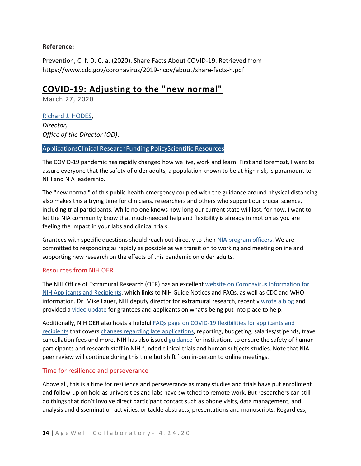#### **Reference:**

Prevention, C. f. D. C. a. (2020). Share Facts About COVID-19. Retrieved from https://www.cdc.gov/coronavirus/2019-ncov/about/share-facts-h.pdf

### <span id="page-14-0"></span>**COVID-19: Adjusting to the "new normal"**

March 27, 2020

[Richard J. HODES,](https://www.nia.nih.gov/about/staff/hodes-richard) *Director, Office of the Director (OD)*.

#### [ApplicationsClinical Research](https://www.nia.nih.gov/research/blog/tags/applications)[Funding PolicyScientific Resources](https://www.nia.nih.gov/research/blog/tags/funding-policy)

The COVID-19 pandemic has rapidly changed how we live, work and learn. First and foremost, I want to assure everyone that the safety of older adults, a population known to be at high risk, is paramount to NIH and NIA leadership.

The "new normal" of this public health emergency coupled with the guidance around physical distancing also makes this a trying time for clinicians, researchers and others who support our crucial science, including trial participants. While no one knows how long our current state will last, for now, I want to let the NIA community know that much-needed help and flexibility is already in motion as you are feeling the impact in your labs and clinical trials.

Grantees with specific questions should reach out directly to their [NIA program officers.](https://www.nia.nih.gov/research/research-divisions-contacts) We are committed to responding as rapidly as possible as we transition to working and meeting online and supporting new research on the effects of this pandemic on older adults.

#### Resources from NIH OER

The NIH Office of Extramural Research (OER) has an excellent [website on Coronavirus Information for](https://grants.nih.gov/grants/natural_disasters/corona-virus.htm)  [NIH Applicants and Recipients,](https://grants.nih.gov/grants/natural_disasters/corona-virus.htm) which links to NIH Guide Notices and FAQs, as well as CDC and WHO information. Dr. Mike Lauer, NIH deputy director for extramural research, recently [wrote a blog](https://nexus.od.nih.gov/all/2020/03/26/responding-to-frequent-questions-on-flexibilities-related-to-nih-funding-and-covid-19/) and provided a [video update](https://www.youtube.com/watch?v=V5-Ry-2uGxs&feature=youtu.be) for grantees and applicants on what's being put into place to help.

Additionally, NIH OER also hosts a helpful [FAQs page on COVID-19 flexibilities for applicants and](https://grants.nih.gov/faqs#/covid-19.htm)  [recipients](https://grants.nih.gov/faqs#/covid-19.htm) that covers [changes regarding late applications,](https://grants.nih.gov/grants/guide/notice-files/NOT-OD-20-091.html) reporting, budgeting, salaries/stipends, travel cancellation fees and more. NIH has also issued [guidance](https://grants.nih.gov/grants/guide/notice-files/NOT-OD-20-087.html) for institutions to ensure the safety of human participants and research staff in NIH-funded clinical trials and human subjects studies. Note that NIA peer review will continue during this time but shift from in-person to online meetings.

#### Time for resilience and perseverance

Above all, this is a time for resilience and perseverance as many studies and trials have put enrollment and follow-up on hold as universities and labs have switched to remote work. But researchers can still do things that don't involve direct participant contact such as phone visits, data management, and analysis and dissemination activities, or tackle abstracts, presentations and manuscripts. Regardless,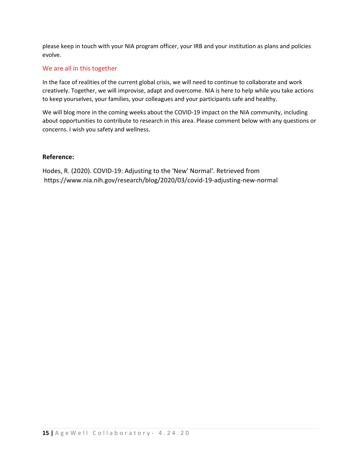please keep in touch with your NIA program officer, your IRB and your institution as plans and policies evolve.

#### We are all in this together

In the face of realities of the current global crisis, we will need to continue to collaborate and work creatively. Together, we will improvise, adapt and overcome. NIA is here to help while you take actions to keep yourselves, your families, your colleagues and your participants safe and healthy.

We will blog more in the coming weeks about the COVID-19 impact on the NIA community, including about opportunities to contribute to research in this area. Please comment below with any questions or concerns. I wish you safety and wellness.

#### **Reference:**

Hodes, R. (2020). COVID-19: Adjusting to the 'New' Normal'. Retrieved from https://www.nia.nih.gov/research/blog/2020/03/covid-19-adjusting-new-normal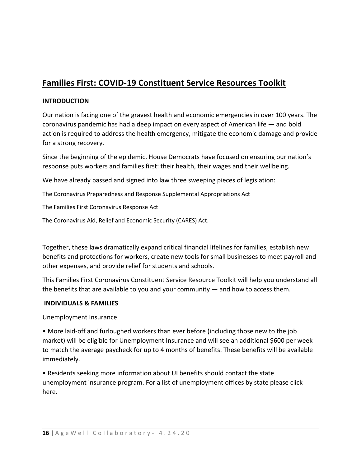# <span id="page-16-0"></span>**Families First: COVID-19 Constituent Service Resources Toolkit**

#### **INTRODUCTION**

Our nation is facing one of the gravest health and economic emergencies in over 100 years. The coronavirus pandemic has had a deep impact on every aspect of American life — and bold action is required to address the health emergency, mitigate the economic damage and provide for a strong recovery.

Since the beginning of the epidemic, House Democrats have focused on ensuring our nation's response puts workers and families first: their health, their wages and their wellbeing.

We have already passed and signed into law three sweeping pieces of legislation:

The Coronavirus Preparedness and Response Supplemental Appropriations Act

The Families First Coronavirus Response Act

The Coronavirus Aid, Relief and Economic Security (CARES) Act.

Together, these laws dramatically expand critical financial lifelines for families, establish new benefits and protections for workers, create new tools for small businesses to meet payroll and other expenses, and provide relief for students and schools.

This Families First Coronavirus Constituent Service Resource Toolkit will help you understand all the benefits that are available to you and your community — and how to access them.

#### **INDIVIDUALS & FAMILIES**

Unemployment Insurance

• More laid-off and furloughed workers than ever before (including those new to the job market) will be eligible for Unemployment Insurance and will see an additional \$600 per week to match the average paycheck for up to 4 months of benefits. These benefits will be available immediately.

• Residents seeking more information about UI benefits should contact the state unemployment insurance program. For a list of unemployment offices by state please click here.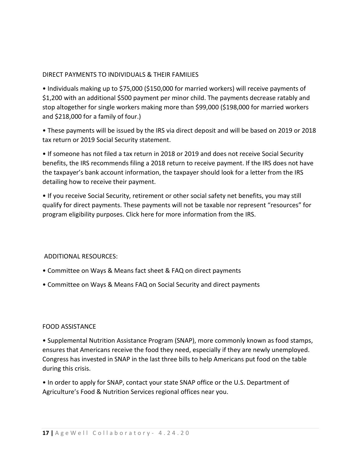#### DIRECT PAYMENTS TO INDIVIDUALS & THEIR FAMILIES

• Individuals making up to \$75,000 (\$150,000 for married workers) will receive payments of \$1,200 with an additional \$500 payment per minor child. The payments decrease ratably and stop altogether for single workers making more than \$99,000 (\$198,000 for married workers and \$218,000 for a family of four.)

• These payments will be issued by the IRS via direct deposit and will be based on 2019 or 2018 tax return or 2019 Social Security statement.

• If someone has not filed a tax return in 2018 or 2019 and does not receive Social Security benefits, the IRS recommends filing a 2018 return to receive payment. If the IRS does not have the taxpayer's bank account information, the taxpayer should look for a letter from the IRS detailing how to receive their payment.

• If you receive Social Security, retirement or other social safety net benefits, you may still qualify for direct payments. These payments will not be taxable nor represent "resources" for program eligibility purposes. Click here for more information from the IRS.

ADDITIONAL RESOURCES:

- Committee on Ways & Means fact sheet & FAQ on direct payments
- Committee on Ways & Means FAQ on Social Security and direct payments

#### FOOD ASSISTANCE

• Supplemental Nutrition Assistance Program (SNAP), more commonly known as food stamps, ensures that Americans receive the food they need, especially if they are newly unemployed. Congress has invested in SNAP in the last three bills to help Americans put food on the table during this crisis.

• In order to apply for SNAP, contact your state SNAP office or the U.S. Department of Agriculture's Food & Nutrition Services regional offices near you.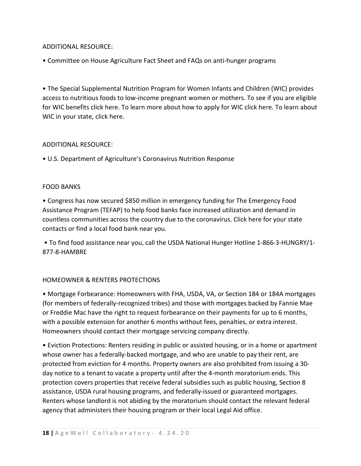#### ADDITIONAL RESOURCE:

• Committee on House Agriculture Fact Sheet and FAQs on anti-hunger programs

• The Special Supplemental Nutrition Program for Women Infants and Children (WIC) provides access to nutritious foods to low-income pregnant women or mothers. To see if you are eligible for WIC benefits click here. To learn more about how to apply for WIC click here. To learn about WIC in your state, click here.

#### ADDITIONAL RESOURCE:

• U.S. Department of Agriculture's Coronavirus Nutrition Response

#### FOOD BANKS

• Congress has now secured \$850 million in emergency funding for The Emergency Food Assistance Program (TEFAP) to help food banks face increased utilization and demand in countless communities across the country due to the coronavirus. Click here for your state contacts or find a local food bank near you.

• To find food assistance near you, call the USDA National Hunger Hotline 1-866-3-HUNGRY/1- 877-8-HAMBRE

#### HOMEOWNER & RENTERS PROTECTIONS

• Mortgage Forbearance: Homeowners with FHA, USDA, VA, or Section 184 or 184A mortgages (for members of federally-recognized tribes) and those with mortgages backed by Fannie Mae or Freddie Mac have the right to request forbearance on their payments for up to 6 months, with a possible extension for another 6 months without fees, penalties, or extra interest. Homeowners should contact their mortgage servicing company directly.

• Eviction Protections: Renters residing in public or assisted housing, or in a home or apartment whose owner has a federally-backed mortgage, and who are unable to pay their rent, are protected from eviction for 4 months. Property owners are also prohibited from issuing a 30 day notice to a tenant to vacate a property until after the 4-month moratorium ends. This protection covers properties that receive federal subsidies such as public housing, Section 8 assistance, USDA rural housing programs, and federally-issued or guaranteed mortgages. Renters whose landlord is not abiding by the moratorium should contact the relevant federal agency that administers their housing program or their local Legal Aid office.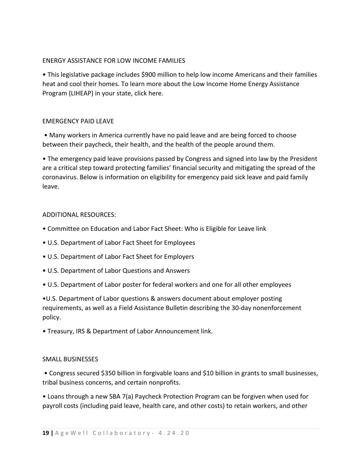#### ENERGY ASSISTANCE FOR LOW INCOME FAMILIES

• This legislative package includes \$900 million to help low income Americans and their families heat and cool their homes. To learn more about the Low Income Home Energy Assistance Program (LIHEAP) in your state, click here.

#### EMERGENCY PAID LEAVE

• Many workers in America currently have no paid leave and are being forced to choose between their paycheck, their health, and the health of the people around them.

• The emergency paid leave provisions passed by Congress and signed into law by the President are a critical step toward protecting families' financial security and mitigating the spread of the coronavirus. Below is information on eligibility for emergency paid sick leave and paid family leave.

#### ADDITIONAL RESOURCES:

- Committee on Education and Labor Fact Sheet: Who is Eligible for Leave link
- U.S. Department of Labor Fact Sheet for Employees
- U.S. Department of Labor Fact Sheet for Employers
- U.S. Department of Labor Questions and Answers
- U.S. Department of Labor poster for federal workers and one for all other employees

•U.S. Department of Labor questions & answers document about employer posting requirements, as well as a Field Assistance Bulletin describing the 30-day nonenforcement policy.

• Treasury, IRS & Department of Labor Announcement link.

#### SMALL BUSINESSES

• Congress secured \$350 billion in forgivable loans and \$10 billion in grants to small businesses, tribal business concerns, and certain nonprofits.

• Loans through a new SBA 7(a) Paycheck Protection Program can be forgiven when used for payroll costs (including paid leave, health care, and other costs) to retain workers, and other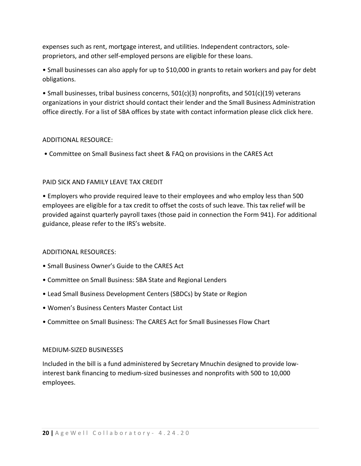expenses such as rent, mortgage interest, and utilities. Independent contractors, soleproprietors, and other self-employed persons are eligible for these loans.

• Small businesses can also apply for up to \$10,000 in grants to retain workers and pay for debt obligations.

• Small businesses, tribal business concerns, 501(c)(3) nonprofits, and 501(c)(19) veterans organizations in your district should contact their lender and the Small Business Administration office directly. For a list of SBA offices by state with contact information please click click here.

#### ADDITIONAL RESOURCE:

• Committee on Small Business fact sheet & FAQ on provisions in the CARES Act

#### PAID SICK AND FAMILY LEAVE TAX CREDIT

• Employers who provide required leave to their employees and who employ less than 500 employees are eligible for a tax credit to offset the costs of such leave. This tax relief will be provided against quarterly payroll taxes (those paid in connection the Form 941). For additional guidance, please refer to the IRS's website.

#### ADDITIONAL RESOURCES:

- Small Business Owner's Guide to the CARES Act
- Committee on Small Business: SBA State and Regional Lenders
- Lead Small Business Development Centers (SBDCs) by State or Region
- Women's Business Centers Master Contact List
- Committee on Small Business: The CARES Act for Small Businesses Flow Chart

#### MEDIUM-SIZED BUSINESSES

Included in the bill is a fund administered by Secretary Mnuchin designed to provide lowinterest bank financing to medium-sized businesses and nonprofits with 500 to 10,000 employees.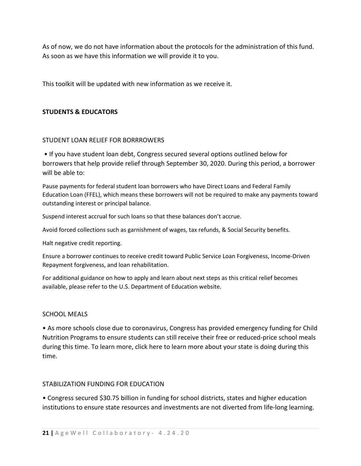As of now, we do not have information about the protocols for the administration of this fund. As soon as we have this information we will provide it to you.

This toolkit will be updated with new information as we receive it.

#### **STUDENTS & EDUCATORS**

#### STUDENT LOAN RELIEF FOR BORRROWERS

• If you have student loan debt, Congress secured several options outlined below for borrowers that help provide relief through September 30, 2020. During this period, a borrower will be able to:

Pause payments for federal student loan borrowers who have Direct Loans and Federal Family Education Loan (FFEL), which means these borrowers will not be required to make any payments toward outstanding interest or principal balance.

Suspend interest accrual for such loans so that these balances don't accrue.

Avoid forced collections such as garnishment of wages, tax refunds, & Social Security benefits.

Halt negative credit reporting.

Ensure a borrower continues to receive credit toward Public Service Loan Forgiveness, Income-Driven Repayment forgiveness, and loan rehabilitation.

For additional guidance on how to apply and learn about next steps as this critical relief becomes available, please refer to the U.S. Department of Education website.

#### SCHOOL MEALS

• As more schools close due to coronavirus, Congress has provided emergency funding for Child Nutrition Programs to ensure students can still receive their free or reduced-price school meals during this time. To learn more, click here to learn more about your state is doing during this time.

#### STABILIZATION FUNDING FOR EDUCATION

• Congress secured \$30.75 billion in funding for school districts, states and higher education institutions to ensure state resources and investments are not diverted from life-long learning.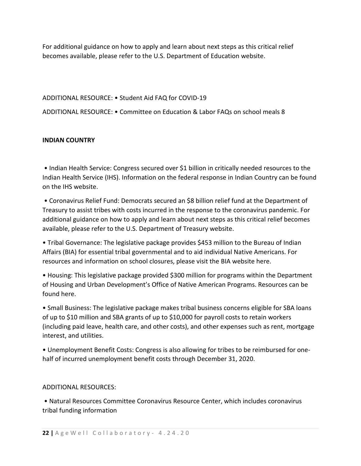For additional guidance on how to apply and learn about next steps as this critical relief becomes available, please refer to the U.S. Department of Education website.

#### ADDITIONAL RESOURCE: • Student Aid FAQ for COVID-19

ADDITIONAL RESOURCE: • Committee on Education & Labor FAQs on school meals 8

#### **INDIAN COUNTRY**

• Indian Health Service: Congress secured over \$1 billion in critically needed resources to the Indian Health Service (IHS). Information on the federal response in Indian Country can be found on the IHS website.

• Coronavirus Relief Fund: Democrats secured an \$8 billion relief fund at the Department of Treasury to assist tribes with costs incurred in the response to the coronavirus pandemic. For additional guidance on how to apply and learn about next steps as this critical relief becomes available, please refer to the U.S. Department of Treasury website.

• Tribal Governance: The legislative package provides \$453 million to the Bureau of Indian Affairs (BIA) for essential tribal governmental and to aid individual Native Americans. For resources and information on school closures, please visit the BIA website here.

• Housing: This legislative package provided \$300 million for programs within the Department of Housing and Urban Development's Office of Native American Programs. Resources can be found here.

• Small Business: The legislative package makes tribal business concerns eligible for SBA loans of up to \$10 million and SBA grants of up to \$10,000 for payroll costs to retain workers (including paid leave, health care, and other costs), and other expenses such as rent, mortgage interest, and utilities.

• Unemployment Benefit Costs: Congress is also allowing for tribes to be reimbursed for onehalf of incurred unemployment benefit costs through December 31, 2020.

#### ADDITIONAL RESOURCES:

• Natural Resources Committee Coronavirus Resource Center, which includes coronavirus tribal funding information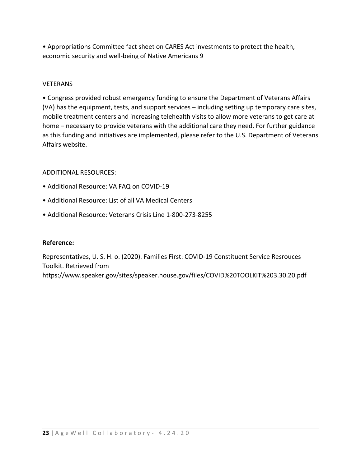• Appropriations Committee fact sheet on CARES Act investments to protect the health, economic security and well-being of Native Americans 9

#### **VETERANS**

• Congress provided robust emergency funding to ensure the Department of Veterans Affairs (VA) has the equipment, tests, and support services – including setting up temporary care sites, mobile treatment centers and increasing telehealth visits to allow more veterans to get care at home – necessary to provide veterans with the additional care they need. For further guidance as this funding and initiatives are implemented, please refer to the U.S. Department of Veterans Affairs website.

#### ADDITIONAL RESOURCES:

- Additional Resource: VA FAQ on COVID-19
- Additional Resource: List of all VA Medical Centers
- Additional Resource: Veterans Crisis Line 1-800-273-8255

#### **Reference:**

Representatives, U. S. H. o. (2020). Families First: COVID-19 Constituent Service Resrouces Toolkit. Retrieved from https://www.speaker.gov/sites/speaker.house.gov/files/COVID%20TOOLKIT%203.30.20.pdf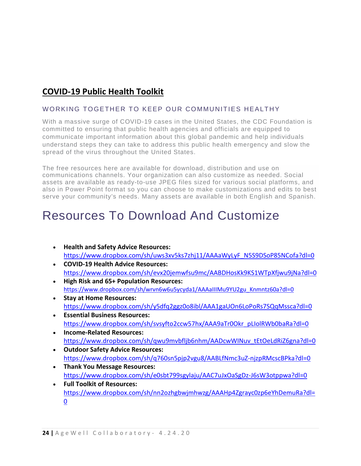# <span id="page-24-0"></span>**COVID-19 Public Health Toolkit**

#### WORKING TOGETHER TO KEEP OUR COMMUNITIES HEALTHY

With a massive surge of COVID-19 cases in the United States, the CDC Foundation is committed to ensuring that public health agencies and officials are equipped to communicate important information about this global pandemic and help individuals understand steps they can take to address this public health emergency and slow the spread of the virus throughout the United States.

The free resources here are available for download, distribution and use on communications channels. Your organization can also customize as needed. Social assets are available as ready-to-use JPEG files sized for various social platforms, and also in Power Point format so you can choose to make customizations and edits to best serve your community's needs. Many assets are available in both English and Spanish.

# Resources To Download And Customize

- **Health and Safety Advice Resources:**  [https://www.dropbox.com/sh/uws3xv5ks7zhj11/AAAaWyLyF\\_N5S9DSoP85NCofa?dl=0](https://www.dropbox.com/sh/uws3xv5ks7zhj11/AAAaWyLyF_N5S9DSoP85NCofa?dl=0)
- **COVID-19 Health Advice Resources:** <https://www.dropbox.com/sh/evx20jemwfsu9mc/AABDHosKk9KS1WTpXfjwu9jNa?dl=0>
- **High Risk and 65+ Population Resources:** [https://www.dropbox.com/sh/wrvn6w6u5ycyda1/AAAaIIIMu9YU2gu\\_Knmntz60a?dl=0](https://www.dropbox.com/sh/wrvn6w6u5ycyda1/AAAaIIIMu9YU2gu_Knmntz60a?dl=0)
- **Stay at Home Resources:** <https://www.dropbox.com/sh/y5dfq2ggz0o8ibl/AAA1gaUOn6LoPoRs7SQqMssca?dl=0>
- **Essential Business Resources:** [https://www.dropbox.com/sh/svsyfto2ccw57hx/AAA9aTr0Okr\\_pLIolRWb0baRa?dl=0](https://www.dropbox.com/sh/svsyfto2ccw57hx/AAA9aTr0Okr_pLIolRWb0baRa?dl=0)
- **Income-Related Resources:** [https://www.dropbox.com/sh/qwu9mvbfljb6nhm/AADcwWINuv\\_tEtOeLdRiZ6gna?dl=0](https://www.dropbox.com/sh/qwu9mvbfljb6nhm/AADcwWINuv_tEtOeLdRiZ6gna?dl=0)
- **Outdoor Safety Advice Resources:** <https://www.dropbox.com/sh/q760sn5pjp2vgu8/AABLfNmc3uZ-njzpRMcscBPka?dl=0>
- **Thank You Message Resources:** <https://www.dropbox.com/sh/e0sbt799sgylaju/AAC7uJxOaSgDz-J6sW3otppwa?dl=0>
- **Full Toolkit of Resources:** [https://www.dropbox.com/sh/nn2ozhgbwjmhwzg/AAAHp4Zgrayc0zp6eYhDemuRa?dl=](https://www.dropbox.com/sh/nn2ozhgbwjmhwzg/AAAHp4Zgrayc0zp6eYhDemuRa?dl=0) [0](https://www.dropbox.com/sh/nn2ozhgbwjmhwzg/AAAHp4Zgrayc0zp6eYhDemuRa?dl=0)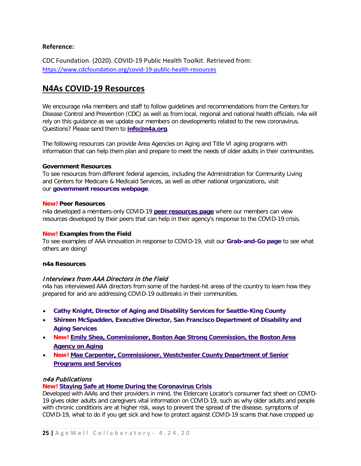#### **Reference:**

CDC Foundation. (2020). COVID-19 Public Health Toolkit. Retrieved from: <https://www.cdcfoundation.org/covid-19-public-health-resources>

### <span id="page-25-0"></span>**N4As COVID-19 Resources**

We encourage n4a members and staff to follow guidelines and recommendations from the Centers for Disease Control and Prevention (CDC) as well as from local, regional and national health officials. n4a will rely on this guidance as we update our members on developments related to the new coronavirus. Questions? Please send them to **[info@n4a.org](mailto:info@n4a.org)**.

The following resources can provide Area Agencies on Aging and Title VI aging programs with information that can help them plan and prepare to meet the needs of older adults in their communities.

#### **Government Resources**

To see resources from different federal agencies, including the Administration for Community Living and Centers for Medicare & Medicaid Services, as well as other national organizations, visit our **[government resources webpage](https://www.n4a.org/covid19govtresources)**.

#### **New! Peer Resources**

n4a developed a members-only COVID-19 **[peer resources page](https://www.n4a.org/covid19peerresources)** where our members can view resources developed by their peers that can help in their agency's response to the COVID-19 crisis.

#### **New! Examples from the Field**

To see examples of AAA innovation in response to COVID-19, visit our **[Grab-and-Go page](https://www.n4a.org/covid19fieldexamples)** to see what others are doing!

#### **n4a Resources**

#### Interviews from AAA Directors in the Field

n4a has interviewed AAA directors from some of the hardest-hit areas of the country to learn how they prepared for and are addressing COVID-19 outbreaks in their communities.

- **Cathy Knight, [Director of Aging and Disability Services for Seattle-King County](https://www.n4a.org/article_content.asp?article=69)**
- **Shireen McSpadden, [Executive Director, San Francisco Department of Disability and](https://www.n4a.org/article_content.asp?adminkey=7dd51b2cf89399e21de6e6f181592e83&article=75)  [Aging Services](https://www.n4a.org/article_content.asp?adminkey=7dd51b2cf89399e21de6e6f181592e83&article=75)**
- **New! Emily Shea, Commissioner, [Boston Age Strong Commission, the Boston Area](https://www.n4a.org/article_content.asp?adminkey=53a485cfeff1fa701a592b3d4d975601&article=77)  [Agency on Aging](https://www.n4a.org/article_content.asp?adminkey=53a485cfeff1fa701a592b3d4d975601&article=77)**
- **New! Mae Carpenter, [Commissioner, Westchester County Department of Senior](https://www.n4a.org/article_content.asp?adminkey=2101a8085584e1fc472d4405f2b43557&article=76)  [Programs and Services](https://www.n4a.org/article_content.asp?adminkey=2101a8085584e1fc472d4405f2b43557&article=76)**

#### n4a Publications

#### **New! [Staying Safe at Home During the Coronavirus Crisis](https://www.n4a.org/content.asp?admin=Y&contentid=1061)**

Developed with AAAs and their providers in mind, the Eldercare Locator's consumer fact sheet on COVID-19 gives older adults and caregivers vital information on COVID-19, such as why older adults and people with chronic conditions are at higher risk, ways to prevent the spread of the disease, symptoms of COVID-19, what to do if you get sick and how to protect against COVID-19 scams that have cropped up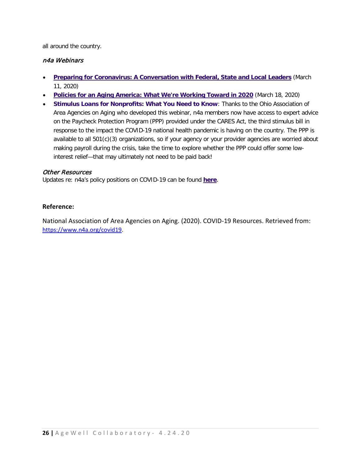all around the country.

#### n4a Webinars

- **[Preparing for Coronavirus: A Conversation with Federal, State and Local Leaders](https://www.n4a.org/content.asp?admin=Y&contentid=1052)** (March 11, 2020)
- **[Policies for an Aging America: What We're Working Toward in 2020](https://www.n4a.org/content.asp?admin=Y&contentid=1055)** (March 18, 2020)
- **[Stimulus Loans for Nonprofits: What You Need to Know](https://www.viddler.com/v/a2f34bbb?secret=38865641)**: Thanks to the Ohio Association of Area Agencies on Aging who developed this webinar, n4a members now have access to expert advice on the Paycheck Protection Program (PPP) provided under the CARES Act, the third stimulus bill in response to the impact the COVID-19 national health pandemic is having on the country. The PPP is available to all 501(c)(3) organizations, so if your agency or your provider agencies are worried about making payroll during the crisis, take the time to explore whether the PPP could offer some lowinterest relief—that may ultimately not need to be paid back!

#### Other Resources

Updates re: n4a's policy positions on COVID-19 can be found **[here](https://www.n4a.org/currentissuesandresources)**.

#### **Reference:**

National Association of Area Agencies on Aging. (2020). COVID-19 Resources. Retrieved from: [https://www.n4a.org/covid19.](https://www.n4a.org/covid19)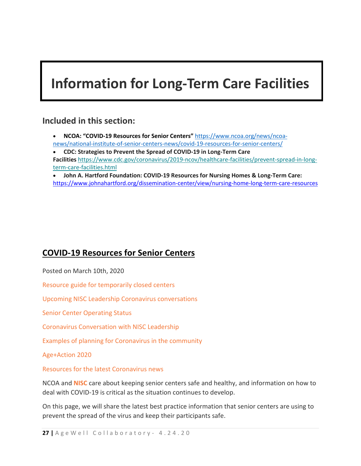# <span id="page-27-0"></span>**Information for Long-Term Care Facilities**

### **Included in this section:**

• **NCOA: "COVID-19 Resources for Senior Centers"** [https://www.ncoa.org/news/ncoa](https://www.ncoa.org/news/ncoa-news/national-institute-of-senior-centers-news/covid-19-resources-for-senior-centers/)[news/national-institute-of-senior-centers-news/covid-19-resources-for-senior-centers/](https://www.ncoa.org/news/ncoa-news/national-institute-of-senior-centers-news/covid-19-resources-for-senior-centers/)

• **CDC: Strategies to Prevent the Spread of COVID-19 in Long-Term Care Facilities** [https://www.cdc.gov/coronavirus/2019-ncov/healthcare-facilities/prevent-spread-in-long](https://nam01.safelinks.protection.outlook.com/?url=https%3A%2F%2Fdrexel.us4.list-manage.com%2Ftrack%2Fclick%3Fu%3D15d8ddde5f96fc486875a60e1%26id%3D4289ea659c%26e%3D5d81b77a32&data=02%7C01%7Cefy24%40drexel.edu%7C759c6d59061141b9ddf908d7cb74d84a%7C3664e6fa47bd45a696708c4f080f8ca6%7C0%7C0%7C637201575008838422&sdata=PHuCU8aNMGcdQy7ODZbYgZYwU0FAQZauGT8ghqG3198%3D&reserved=0)[term-care-facilities.html](https://nam01.safelinks.protection.outlook.com/?url=https%3A%2F%2Fdrexel.us4.list-manage.com%2Ftrack%2Fclick%3Fu%3D15d8ddde5f96fc486875a60e1%26id%3D4289ea659c%26e%3D5d81b77a32&data=02%7C01%7Cefy24%40drexel.edu%7C759c6d59061141b9ddf908d7cb74d84a%7C3664e6fa47bd45a696708c4f080f8ca6%7C0%7C0%7C637201575008838422&sdata=PHuCU8aNMGcdQy7ODZbYgZYwU0FAQZauGT8ghqG3198%3D&reserved=0)

• **John A. Hartford Foundation: COVID-19 Resources for Nursing Homes & Long-Term Care:**  <https://www.johnahartford.org/dissemination-center/view/nursing-home-long-term-care-resources>

### <span id="page-27-1"></span>**[COVID-19 Resources for Senior Centers](https://www.ncoa.org/news/ncoa-news/national-institute-of-senior-centers-news/covid-19-resources-for-senior-centers/)**

Posted on March 10th, 2020

[Resource guide for temporarily closed centers](https://www.ncoa.org/news/ncoa-news/national-institute-of-senior-centers-news/covid-19-resources-for-senior-centers/#intraPageNav0)

[Upcoming NISC Leadership Coronavirus conversations](https://www.ncoa.org/news/ncoa-news/national-institute-of-senior-centers-news/covid-19-resources-for-senior-centers/#intraPageNav1)

[Senior Center Operating Status](https://www.ncoa.org/news/ncoa-news/national-institute-of-senior-centers-news/covid-19-resources-for-senior-centers/#intraPageNav2)

[Coronavirus Conversation with NISC](https://www.ncoa.org/news/ncoa-news/national-institute-of-senior-centers-news/covid-19-resources-for-senior-centers/#intraPageNav3) Leadership

[Examples of planning for Coronavirus in the community](https://www.ncoa.org/news/ncoa-news/national-institute-of-senior-centers-news/covid-19-resources-for-senior-centers/#intraPageNav4)

[Age+Action 2020](https://www.ncoa.org/news/ncoa-news/national-institute-of-senior-centers-news/covid-19-resources-for-senior-centers/#intraPageNav5)

[Resources for the latest Coronavirus news](https://www.ncoa.org/news/ncoa-news/national-institute-of-senior-centers-news/covid-19-resources-for-senior-centers/#intraPageNav6)

NCOA and **[NISC](http://ncoa.org/nisc)** care about keeping senior centers safe and healthy, and information on how to deal with COVID-19 is critical as the situation continues to develop.

On this page, we will share the latest best practice information that senior centers are using to prevent the spread of the virus and keep their participants safe.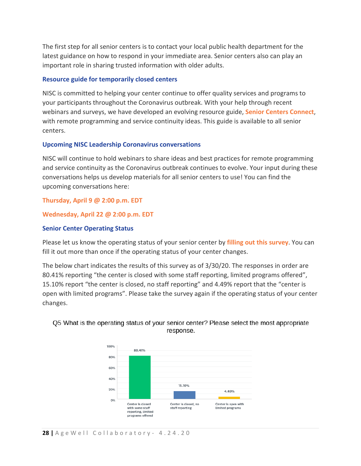The first step for all senior centers is to contact your local public health department for the latest guidance on how to respond in your immediate area. Senior centers also can play an important role in sharing trusted information with older adults.

#### **Resource guide for temporarily closed centers**

NISC is committed to helping your center continue to offer quality services and programs to your participants throughout the Coronavirus outbreak. With your help through recent webinars and surveys, we have developed an evolving resource guide, **[Senior Centers Connect](https://www.ncoa.org/resources/senior-centers-connect/)**, with remote programming and service continuity ideas. This guide is available to all senior centers.

#### **Upcoming NISC Leadership Coronavirus conversations**

NISC will continue to hold webinars to share ideas and best practices for remote programming and service continuity as the Coronavirus outbreak continues to evolve. Your input during these conversations helps us develop materials for all senior centers to use! You can find the upcoming conversations here:

#### **[Thursday, April 9 @ 2:00 p.m. EDT](https://ncoa.zoom.us/webinar/register/WN_wpqdmz5bRUqvpsuHJFOVug)**

#### **[Wednesday, April 22 @ 2:00 p.m. EDT](https://ncoa.zoom.us/webinar/register/WN_ZduttQVRRr2c4bNKCryd0g)**

#### **Senior Center Operating Status**

Please let us know the operating status of your senior center by **[filling out this survey](https://www.surveymonkey.com/r/covidscreporting)**. You can fill it out more than once if the operating status of your center changes.

The below chart indicates the results of this survey as of 3/30/20. The responses in order are 80.41% reporting "the center is closed with some staff reporting, limited programs offered", 15.10% report "the center is closed, no staff reporting" and 4.49% report that the "center is open with limited programs". Please take the survey again if the operating status of your center changes.



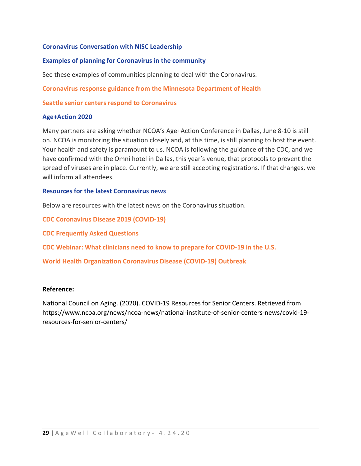#### **Coronavirus Conversation with NISC Leadership**

#### **Examples of planning for Coronavirus in the community**

See these examples of communities planning to deal with the Coronavirus.

**[Coronavirus response guidance from the Minnesota Department of Health](http://www.ncoa.org/resources/coronavirus-response-guidance-from-the-minnesota-department-of-health/)**

**[Seattle senior centers respond to Coronavirus](https://www.ncoa.org/resources/seattle-response-to-coronavirus-outbreak/)**

#### **Age+Action 2020**

Many partners are asking whether NCOA's Age+Action Conference in Dallas, June 8-10 is still on. NCOA is monitoring the situation closely and, at this time, is still planning to host the event. Your health and safety is paramount to us. NCOA is following the guidance of the CDC, and we have confirmed with the Omni hotel in Dallas, this year's venue, that protocols to prevent the spread of viruses are in place. Currently, we are still accepting registrations. If that changes, we will inform all attendees.

#### **Resources for the latest Coronavirus news**

Below are resources with the latest news on the Coronavirus situation.

**[CDC Coronavirus Disease 2019 \(COVID-19\)](https://www.cdc.gov/coronavirus/2019-ncov/)**

**[CDC Frequently Asked Questions](https://www.cdc.gov/coronavirus/2019-ncov/faq.html)**

**[CDC Webinar: What clinicians need to know to prepare for COVID-19 in the U.S.](https://emergency.cdc.gov/coca/calls/2020/callinfo_030520.asp)**

**[World Health Organization Coronavirus Disease \(COVID-19\) Outbreak](https://www.who.int/emergencies/diseases/novel-coronavirus-2019)**

#### **Reference:**

National Council on Aging. (2020). COVID-19 Resources for Senior Centers. Retrieved from https://www.ncoa.org/news/ncoa-news/national-institute-of-senior-centers-news/covid-19 resources-for-senior-centers/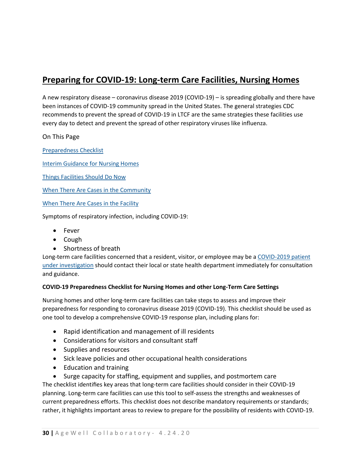# <span id="page-30-0"></span>**Preparing for COVID-19: Long-term Care Facilities, Nursing Homes**

A new respiratory disease – coronavirus disease 2019 (COVID-19) – is spreading globally and there have been instances of COVID-19 community spread in the United States. The general strategies CDC recommends to prevent the spread of COVID-19 in LTCF are the same strategies these facilities use every day to detect and prevent the spread of other respiratory viruses like influenza.

On This Page

[Preparedness Checklist](https://www.cdc.gov/coronavirus/2019-ncov/healthcare-facilities/prevent-spread-in-long-term-care-facilities.html#checklist)

[Interim Guidance for Nursing Homes](https://www.cdc.gov/coronavirus/2019-ncov/healthcare-facilities/prevent-spread-in-long-term-care-facilities.html#interim-guidance)

[Things Facilities Should Do Now](https://www.cdc.gov/coronavirus/2019-ncov/healthcare-facilities/prevent-spread-in-long-term-care-facilities.html#facilities-should-do)

[When There Are Cases in the Community](https://www.cdc.gov/coronavirus/2019-ncov/healthcare-facilities/prevent-spread-in-long-term-care-facilities.html#cases-in-community)

[When There Are Cases in the Facility](https://www.cdc.gov/coronavirus/2019-ncov/healthcare-facilities/prevent-spread-in-long-term-care-facilities.html#cases-in-facility)

Symptoms of respiratory infection, including COVID-19:

- Fever
- Cough
- Shortness of breath

Long-term care facilities concerned that a resident, visitor, or employee may be a [COVID-2019 patient](https://www.cdc.gov/coronavirus/2019-nCoV/hcp/clinical-criteria.html)  [under investigation](https://www.cdc.gov/coronavirus/2019-nCoV/hcp/clinical-criteria.html) should contact their local or state health department immediately for consultation and guidance.

#### **COVID-19 Preparedness Checklist for Nursing Homes and other Long-Term Care Settings**

Nursing homes and other long-term care facilities can take steps to assess and improve their preparedness for responding to coronavirus disease 2019 (COVID-19). This checklist should be used as one tool to develop a comprehensive COVID-19 response plan, including plans for:

- Rapid identification and management of ill residents
- Considerations for visitors and consultant staff
- Supplies and resources
- Sick leave policies and other occupational health considerations
- Education and training
- Surge capacity for staffing, equipment and supplies, and postmortem care

The checklist identifies key areas that long-term care facilities should consider in their COVID-19 planning. Long-term care facilities can use this tool to self-assess the strengths and weaknesses of current preparedness efforts. This checklist does not describe mandatory requirements or standards; rather, it highlights important areas to review to prepare for the possibility of residents with COVID-19.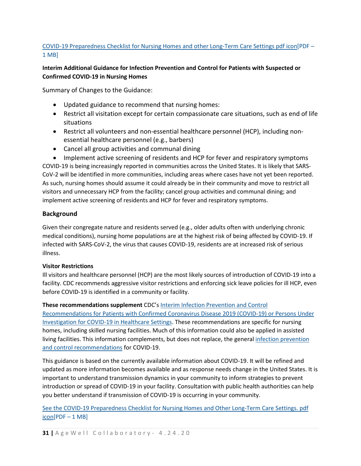#### [COVID-19 Preparedness Checklist for Nursing Homes and other Long-Term Care Settings](https://www.cdc.gov/coronavirus/2019-ncov/downloads/novel-coronavirus-2019-Nursing-Homes-Preparedness-Checklist_3_13.pdf) pdf icon[PDF – [1 MB\]](https://www.cdc.gov/coronavirus/2019-ncov/downloads/novel-coronavirus-2019-Nursing-Homes-Preparedness-Checklist_3_13.pdf)

#### **Interim Additional Guidance for Infection Prevention and Control for Patients with Suspected or Confirmed COVID-19 in Nursing Homes**

Summary of Changes to the Guidance:

- Updated guidance to recommend that nursing homes:
- Restrict all visitation except for certain compassionate care situations, such as end of life situations
- Restrict all volunteers and non-essential healthcare personnel (HCP), including nonessential healthcare personnel (e.g., barbers)
- Cancel all group activities and communal dining

• Implement active screening of residents and HCP for fever and respiratory symptoms COVID-19 is being increasingly reported in communities across the United States. It is likely that SARS-CoV-2 will be identified in more communities, including areas where cases have not yet been reported. As such, nursing homes should assume it could already be in their community and move to restrict all visitors and unnecessary HCP from the facility; cancel group activities and communal dining; and implement active screening of residents and HCP for fever and respiratory symptoms.

#### **Background**

Given their congregate nature and residents served (e.g., older adults often with underlying chronic medical conditions), nursing home populations are at the highest risk of being affected by COVID-19. If infected with SARS-CoV-2, the virus that causes COVID-19, residents are at increased risk of serious illness.

#### **Visitor Restrictions**

Ill visitors and healthcare personnel (HCP) are the most likely sources of introduction of COVID-19 into a facility. CDC recommends aggressive visitor restrictions and enforcing sick leave policies for ill HCP, even before COVID-19 is identified in a community or facility.

#### **These recommendations supplement** CDC's [Interim Infection Prevention and Control](https://www.cdc.gov/coronavirus/2019-ncov/infection-control/control-recommendations.html)

[Recommendations for Patients with Confirmed Coronavirus Disease 2019 \(COVID-19\) or Persons Under](https://www.cdc.gov/coronavirus/2019-ncov/infection-control/control-recommendations.html)  [Investigation for COVID-19 in Healthcare Settings.](https://www.cdc.gov/coronavirus/2019-ncov/infection-control/control-recommendations.html) These recommendations are specific for nursing homes, including skilled nursing facilities. Much of this information could also be applied in assisted living facilities. This information complements, but does not replace, the general [infection prevention](https://www.cdc.gov/coronavirus/2019-ncov/infection-control/control-recommendations.html)  [and control recommendations](https://www.cdc.gov/coronavirus/2019-ncov/infection-control/control-recommendations.html) for COVID-19.

This guidance is based on the currently available information about COVID-19. It will be refined and updated as more information becomes available and as response needs change in the United States. It is important to understand transmission dynamics in your community to inform strategies to prevent introduction or spread of COVID-19 in your facility. Consultation with public health authorities can help you better understand if transmission of COVID-19 is occurring in your community.

[See the COVID-19 Preparedness Checklist for Nursing Homes and Other Long-Term Care Settings.](https://www.cdc.gov/coronavirus/2019-ncov/downloads/novel-coronavirus-2019-Nursing-Homes-Preparedness-Checklist_3_13.pdf) pdf  $\overline{icon[PDF-1MB]}$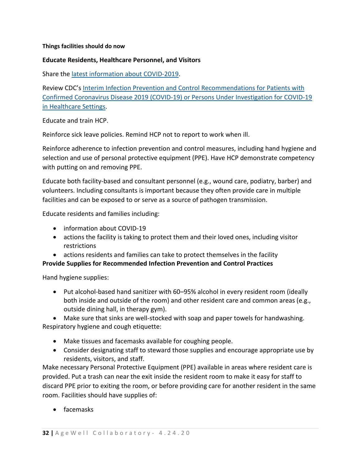#### **Things facilities should do now**

#### **Educate Residents, Healthcare Personnel, and Visitors**

Share the [latest information about COVID-2019.](https://www.cdc.gov/coronavirus/2019-ncov/index.html)

Review CDC's [Interim Infection Prevention and Control Recommendations for Patients with](https://www.cdc.gov/coronavirus/2019-ncov/infection-control/control-recommendations.html)  [Confirmed Coronavirus Disease 2019 \(COVID-19\) or Persons Under Investigation for COVID-19](https://www.cdc.gov/coronavirus/2019-ncov/infection-control/control-recommendations.html)  [in Healthcare Settings.](https://www.cdc.gov/coronavirus/2019-ncov/infection-control/control-recommendations.html)

Educate and train HCP.

Reinforce sick leave policies. Remind HCP not to report to work when ill.

Reinforce adherence to infection prevention and control measures, including hand hygiene and selection and use of personal protective equipment (PPE). Have HCP demonstrate competency with putting on and removing PPE.

Educate both facility-based and consultant personnel (e.g., wound care, podiatry, barber) and volunteers. Including consultants is important because they often provide care in multiple facilities and can be exposed to or serve as a source of pathogen transmission.

Educate residents and families including:

- information about COVID-19
- actions the facility is taking to protect them and their loved ones, including visitor restrictions
- actions residents and families can take to protect themselves in the facility

#### **Provide Supplies for Recommended Infection Prevention and Control Practices**

Hand hygiene supplies:

• Put alcohol-based hand sanitizer with 60–95% alcohol in every resident room (ideally both inside and outside of the room) and other resident care and common areas (e.g., outside dining hall, in therapy gym).

• Make sure that sinks are well-stocked with soap and paper towels for handwashing. Respiratory hygiene and cough etiquette:

- Make tissues and facemasks available for coughing people.
- Consider designating staff to steward those supplies and encourage appropriate use by residents, visitors, and staff.

Make necessary Personal Protective Equipment (PPE) available in areas where resident care is provided. Put a trash can near the exit inside the resident room to make it easy for staff to discard PPE prior to exiting the room, or before providing care for another resident in the same room. Facilities should have supplies of:

• facemasks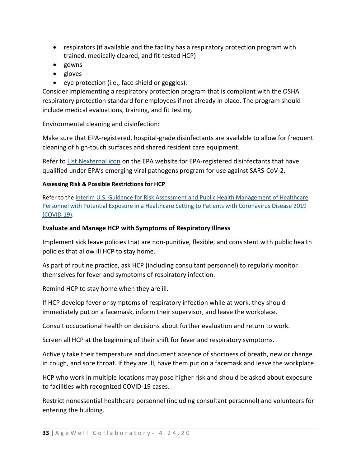- respirators (if available and the facility has a respiratory protection program with trained, medically cleared, and fit-tested HCP)
- gowns
- gloves
- eye protection (i.e., face shield or goggles).

Consider implementing a respiratory protection program that is compliant with the OSHA respiratory protection standard for employees if not already in place. The program should include medical evaluations, training, and fit testing.

Environmental cleaning and disinfection:

Make sure that EPA-registered, hospital-grade disinfectants are available to allow for frequent cleaning of high-touch surfaces and shared resident care equipment.

Refer to [List Nexternal](https://www.epa.gov/pesticide-registration/list-n-disinfectants-use-against-sars-cov-2) icon on the EPA website for EPA-registered disinfectants that have qualified under EPA's emerging viral pathogens program for use against SARS-CoV-2.

#### **Assessing Risk & Possible Restrictions for HCP**

Refer to the Interim U.S. Guidance for Risk Assessment and Public Health Management of Healthcare [Personnel with Potential Exposure in a Healthcare Setting to Patients with Coronavirus Disease 2019](https://www.cdc.gov/coronavirus/2019-ncov/hcp/guidance-risk-assesment-hcp.html)  [\(COVID-19\).](https://www.cdc.gov/coronavirus/2019-ncov/hcp/guidance-risk-assesment-hcp.html)

#### **Evaluate and Manage HCP with Symptoms of Respiratory Illness**

Implement sick leave policies that are non-punitive, flexible, and consistent with public health policies that allow ill HCP to stay home.

As part of routine practice, ask HCP (including consultant personnel) to regularly monitor themselves for fever and symptoms of respiratory infection.

Remind HCP to stay home when they are ill.

If HCP develop fever or symptoms of respiratory infection while at work, they should immediately put on a facemask, inform their supervisor, and leave the workplace.

Consult occupational health on decisions about further evaluation and return to work.

Screen all HCP at the beginning of their shift for fever and respiratory symptoms.

Actively take their temperature and document absence of shortness of breath, new or change in cough, and sore throat. If they are ill, have them put on a facemask and leave the workplace.

HCP who work in multiple locations may pose higher risk and should be asked about exposure to facilities with recognized COVID-19 cases.

Restrict nonessential healthcare personnel (including consultant personnel) and volunteers for entering the building.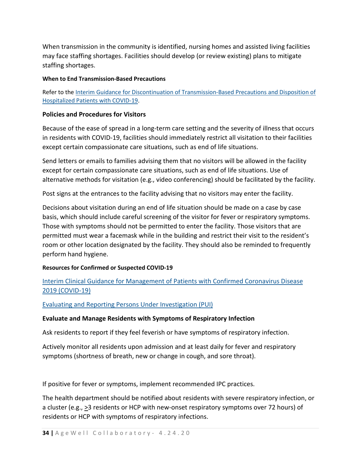When transmission in the community is identified, nursing homes and assisted living facilities may face staffing shortages. Facilities should develop (or review existing) plans to mitigate staffing shortages.

#### **When to End Transmission-Based Precautions**

Refer to the [Interim Guidance for Discontinuation of Transmission-Based Precautions and Disposition of](https://www.cdc.gov/coronavirus/2019-nCoV/hcp/clinical-criteria.html)  [Hospitalized Patients with COVID-19.](https://www.cdc.gov/coronavirus/2019-nCoV/hcp/clinical-criteria.html)

#### **Policies and Procedures for Visitors**

Because of the ease of spread in a long-term care setting and the severity of illness that occurs in residents with COVID-19, facilities should immediately restrict all visitation to their facilities except certain compassionate care situations, such as end of life situations.

Send letters or emails to families advising them that no visitors will be allowed in the facility except for certain compassionate care situations, such as end of life situations. Use of alternative methods for visitation (e.g., video conferencing) should be facilitated by the facility.

Post signs at the entrances to the facility advising that no visitors may enter the facility.

Decisions about visitation during an end of life situation should be made on a case by case basis, which should include careful screening of the visitor for fever or respiratory symptoms. Those with symptoms should not be permitted to enter the facility. Those visitors that are permitted must wear a facemask while in the building and restrict their visit to the resident's room or other location designated by the facility. They should also be reminded to frequently perform hand hygiene.

#### **Resources for Confirmed or Suspected COVID-19**

[Interim Clinical Guidance for Management of Patients with Confirmed Coronavirus Disease](https://www.cdc.gov/coronavirus/2019-ncov/hcp/clinical-guidance-management-patients.html)  [2019 \(COVID-19\)](https://www.cdc.gov/coronavirus/2019-ncov/hcp/clinical-guidance-management-patients.html)

[Evaluating and Reporting Persons Under Investigation \(PUI\)](https://www.cdc.gov/coronavirus/2019-nCoV/hcp/clinical-criteria.html)

#### **Evaluate and Manage Residents with Symptoms of Respiratory Infection**

Ask residents to report if they feel feverish or have symptoms of respiratory infection.

Actively monitor all residents upon admission and at least daily for fever and respiratory symptoms (shortness of breath, new or change in cough, and sore throat).

If positive for fever or symptoms, implement recommended IPC practices.

The health department should be notified about residents with severe respiratory infection, or a cluster (e.g.,  $\geq$ 3 residents or HCP with new-onset respiratory symptoms over 72 hours) of residents or HCP with symptoms of respiratory infections.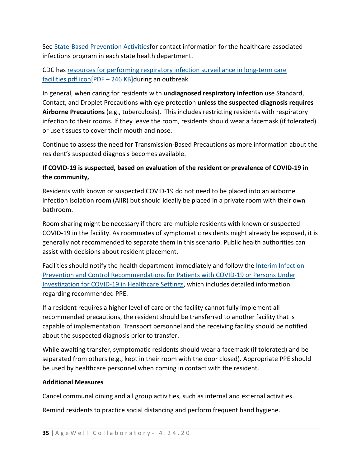See [State-Based Prevention Activitiesf](https://www.cdc.gov/hai/state-based/index.html)or contact information for the healthcare-associated infections program in each state health department.

CDC has resources for [performing respiratory infection surveillance in long-term care](https://www.cdc.gov/longtermcare/pdfs/LTC-Resp-OutbreakResources-P.pdf)  facilities pdf [icon\[PDF –](https://www.cdc.gov/longtermcare/pdfs/LTC-Resp-OutbreakResources-P.pdf) 246 KB]during an outbreak.

In general, when caring for residents with **undiagnosed respiratory infection** use Standard, Contact, and Droplet Precautions with eye protection **unless the suspected diagnosis requires Airborne Precautions** (e.g., tuberculosis). This includes restricting residents with respiratory infection to their rooms. If they leave the room, residents should wear a facemask (if tolerated) or use tissues to cover their mouth and nose.

Continue to assess the need for Transmission-Based Precautions as more information about the resident's suspected diagnosis becomes available.

#### **If COVID-19 is suspected, based on evaluation of the resident or prevalence of COVID-19 in the community,**

Residents with known or suspected COVID-19 do not need to be placed into an airborne infection isolation room (AIIR) but should ideally be placed in a private room with their own bathroom.

Room sharing might be necessary if there are multiple residents with known or suspected COVID-19 in the facility. As roommates of symptomatic residents might already be exposed, it is generally not recommended to separate them in this scenario. Public health authorities can assist with decisions about resident placement.

Facilities should notify the health department immediately and follow the [Interim Infection](https://www.cdc.gov/coronavirus/2019-ncov/infection-control/control-recommendations.html?CDC_AA_refVal=https%3A%2F%2Fwww.cdc.gov%2Fcoronavirus%2F2019-ncov%2Fhcp%2Finfection-control.html)  [Prevention and Control Recommendations for Patients with COVID-19 or Persons Under](https://www.cdc.gov/coronavirus/2019-ncov/infection-control/control-recommendations.html?CDC_AA_refVal=https%3A%2F%2Fwww.cdc.gov%2Fcoronavirus%2F2019-ncov%2Fhcp%2Finfection-control.html)  [Investigation for COVID-19 in Healthcare Settings,](https://www.cdc.gov/coronavirus/2019-ncov/infection-control/control-recommendations.html?CDC_AA_refVal=https%3A%2F%2Fwww.cdc.gov%2Fcoronavirus%2F2019-ncov%2Fhcp%2Finfection-control.html) which includes detailed information regarding recommended PPE.

If a resident requires a higher level of care or the facility cannot fully implement all recommended precautions, the resident should be transferred to another facility that is capable of implementation. Transport personnel and the receiving facility should be notified about the suspected diagnosis prior to transfer.

While awaiting transfer, symptomatic residents should wear a facemask (if tolerated) and be separated from others (e.g., kept in their room with the door closed). Appropriate PPE should be used by healthcare personnel when coming in contact with the resident.

#### **Additional Measures**

Cancel communal dining and all group activities, such as internal and external activities.

Remind residents to practice social distancing and perform frequent hand hygiene.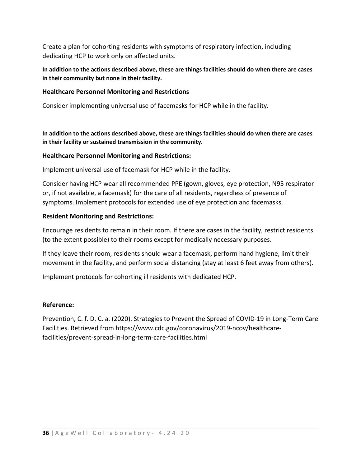Create a plan for cohorting residents with symptoms of respiratory infection, including dedicating HCP to work only on affected units.

**In addition to the actions described above, these are things facilities should do when there are cases in their community but none in their facility.**

# **Healthcare Personnel Monitoring and Restrictions**

Consider implementing universal use of facemasks for HCP while in the facility.

**In addition to the actions described above, these are things facilities should do when there are cases in their facility or sustained transmission in the community.**

#### **Healthcare Personnel Monitoring and Restrictions:**

Implement universal use of facemask for HCP while in the facility.

Consider having HCP wear all recommended PPE (gown, gloves, eye protection, N95 respirator or, if not available, a facemask) for the care of all residents, regardless of presence of symptoms. Implement protocols for extended use of eye protection and facemasks.

# **Resident Monitoring and Restrictions:**

Encourage residents to remain in their room. If there are cases in the facility, restrict residents (to the extent possible) to their rooms except for medically necessary purposes.

If they leave their room, residents should wear a facemask, perform hand hygiene, limit their movement in the facility, and perform social distancing (stay at least 6 feet away from others).

Implement protocols for cohorting ill residents with dedicated HCP.

#### **Reference:**

Prevention, C. f. D. C. a. (2020). Strategies to Prevent the Spread of COVID-19 in Long-Term Care Facilities. Retrieved from https://www.cdc.gov/coronavirus/2019-ncov/healthcarefacilities/prevent-spread-in-long-term-care-facilities.html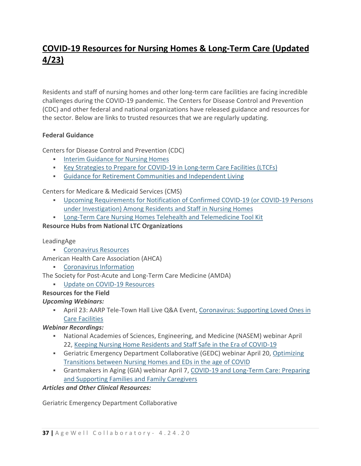# **COVID-19 Resources for Nursing Homes & Long-Term Care (Updated 4/23)**

Residents and staff of nursing homes and other long-term care facilities are facing incredible challenges during the COVID-19 pandemic. The Centers for Disease Control and Prevention (CDC) and other federal and national organizations have released guidance and resources for the sector. Below are links to trusted resources that we are regularly updating.

# **Federal Guidance**

Centers for Disease Control and Prevention (CDC)

- **Interim [Guidance for Nursing Homes](https://www.cdc.gov/coronavirus/2019-ncov/hcp/long-term-care.html)**
- [Key Strategies to Prepare for COVID-19 in Long-term Care Facilities \(LTCFs\)](https://www.cdc.gov/coronavirus/2019-ncov/hcp/long-term-care-strategies.html)
- [Guidance for Retirement Communities and Independent Living](https://www.cdc.gov/coronavirus/2019-ncov/community/retirement/index.html)

Centers for Medicare & Medicaid Services (CMS)

- [Upcoming Requirements for Notification of Confirmed COVID-19 \(or COVID-19 Persons](https://www.cms.gov/medicareprovider-enrollment-and-certificationsurveycertificationgeninfopolicy-and-memos-states-and/upcoming-requirements-notification-confirmed-covid-19-or-covid-19-persons-under-investigation-among)  [under Investigation\) Among Residents and Staff in Nursing Homes](https://www.cms.gov/medicareprovider-enrollment-and-certificationsurveycertificationgeninfopolicy-and-memos-states-and/upcoming-requirements-notification-confirmed-covid-19-or-covid-19-persons-under-investigation-among)
- [Long-Term Care Nursing Homes Telehealth and Telemedicine Tool Kit](https://www.cms.gov/files/document/covid-19-nursing-home-telehealth-toolkit.pdf)

# **Resource Hubs from National LTC Organizations**

LeadingAge

[Coronavirus Resources](https://leadingage.org/covid19)

American Health Care Association (AHCA)

[Coronavirus Information](https://www.ahcancal.org/facility_operations/disaster_planning/Pages/Coronavirus.aspx)

The Society for Post-Acute and Long-Term Care Medicine (AMDA)

**[Update on COVID-19 Resources](https://paltc.org/COVID-19)** 

# **Resources for the Field**

# *Upcoming Webinars:*

• April 23: AARP Tele-Town Hall Live Q&A Event, Coronavirus: Supporting Loved Ones in [Care Facilities](https://www.aarp.org/health/conditions-treatments/info-2020/tele-town-hall-coronavirus.html)

*Webinar Recordings:*

- National Academies of Sciences, Engineering, and Medicine (NASEM) webinar April 22, [Keeping Nursing Home Residents and Staff Safe in the Era of COVID-19](https://nasem.zoom.us/rec/play/upZ4I-r5qGk3GdectgSDBfIvW460Kq2s2iEZ-fNbz0-2BSMCY1OjbrAXNOuclKo8pX9NlRm9lOeYVHwq?continueMode=true&_x_zm_rtaid=zkt3FBt-TC2gneKTNwkmrg.1587648587848.03a5db875a1bf394b90f8f4096bd10ab&_x_zm_rhtaid=991)
- Geriatric Emergency Department Collaborative (GEDC) webinar April 20, [Optimizing](https://gedcollaborative.com/event/webinar-optimizing-transitions-between-nursing-homes-and-eds-in-the-age-of-covid-19/)  [Transitions between Nursing Homes and EDs in the age of COVID](https://gedcollaborative.com/event/webinar-optimizing-transitions-between-nursing-homes-and-eds-in-the-age-of-covid-19/)
- Grantmakers in Aging (GIA) webinar April 7, [COVID-19 and Long-Term Care: Preparing](https://www.giaging.org/news-events/tester/archived-webinar/covid-19-and-long-term-care-preparing-and-supporting-families-and-family-ca)  [and Supporting Families and Family Caregivers](https://www.giaging.org/news-events/tester/archived-webinar/covid-19-and-long-term-care-preparing-and-supporting-families-and-family-ca)

# *Articles and Other Clinical Resources:*

Geriatric Emergency Department Collaborative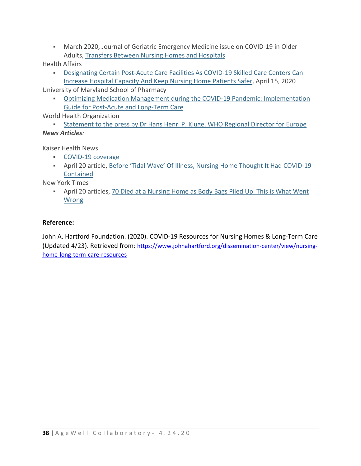March 2020, Journal of Geriatric Emergency Medicine issue on COVID-19 in Older Adults, [Transfers Between Nursing Homes and Hospitals](https://gedcollaborative.com/article/jgem-volume-1-issue-5)

Health Affairs

 [Designating Certain Post-Acute Care Facilities As COVID-19 Skilled Care Centers Can](https://www.healthaffairs.org/do/10.1377/hblog20200414.319963/full/)  [Increase Hospital Capacity And Keep Nursing Home Patients Safer,](https://www.healthaffairs.org/do/10.1377/hblog20200414.319963/full/) April 15, 2020

University of Maryland School of Pharmacy

 [Optimizing Medication Management during the COVID-19 Pandemic: Implementation](https://www.pharmacy.umaryland.edu/centers/lamy/optimizing-medication-management-during-covid19-pandemic/)  [Guide for Post-Acute and Long-Term Care](https://www.pharmacy.umaryland.edu/centers/lamy/optimizing-medication-management-during-covid19-pandemic/)

World Health Organization

 [Statement to the press by Dr Hans Henri P. Kluge, WHO Regional Director for Europe](http://www.euro.who.int/en/media-centre/sections/statements/2020/statement-invest-in-the-overlooked-and-unsung-build-sustainable-people-centred-long-term-care-in-the-wake-of-covid-19) *News Articles:*

Kaiser Health News

- [COVID-19 coverage](https://khn.org/news/tag/coronavirus/)
- April 20 article, [Before 'Tidal Wave' Of Illness, Nursing Home Thought It Had COVID-19](https://khn.org/news/before-tidal-wave-of-sickness-and-death-a-tennessee-nursing-home-thought-it-had-covid-19-contained/)  [Contained](https://khn.org/news/before-tidal-wave-of-sickness-and-death-a-tennessee-nursing-home-thought-it-had-covid-19-contained/)

New York Times

• April 20 articles, 70 Died at a Nursing Home as Body Bags Piled Up. This is What Went [Wrong](https://www.nytimes.com/2020/04/19/nyregion/coronavirus-nj-andover-nursing-home-deaths.html)

# **Reference:**

John A. Hartford Foundation. (2020). COVID-19 Resources for Nursing Homes & Long-Term Care (Updated 4/23). Retrieved from: [https://www.johnahartford.org/dissemination-center/view/nursing](https://www.johnahartford.org/dissemination-center/view/nursing-home-long-term-care-resources)[home-long-term-care-resources](https://www.johnahartford.org/dissemination-center/view/nursing-home-long-term-care-resources)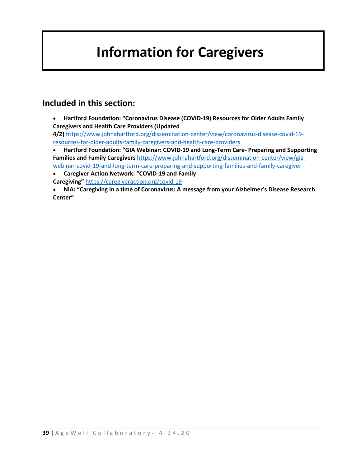# **Information for Caregivers**

# **Included in this section:**

• **Hartford Foundation: "Coronavirus Disease (COVID-19) Resources for Older Adults Family Caregivers and Health Care Providers (Updated** 

**4/2)** [https://www.johnahartford.org/dissemination-center/view/coronavirus-disease-covid-19](https://www.johnahartford.org/dissemination-center/view/coronavirus-disease-covid-19-resources-for-older-adults-family-caregivers-and-health-care-providers) [resources-for-older-adults-family-caregivers-and-health-care-providers](https://www.johnahartford.org/dissemination-center/view/coronavirus-disease-covid-19-resources-for-older-adults-family-caregivers-and-health-care-providers)

- **Hartford Foundation: "GIA Webinar: COVID-19 and Long-Term Care- Preparing and Supporting Families and Family Caregivers** [https://www.johnahartford.org/dissemination-center/view/gia](https://www.johnahartford.org/dissemination-center/view/gia-webinar-covid-19-and-long-term-care-preparing-and-supporting-families-and-family-caregiver)[webinar-covid-19-and-long-term-care-preparing-and-supporting-families-and-family-caregiver](https://www.johnahartford.org/dissemination-center/view/gia-webinar-covid-19-and-long-term-care-preparing-and-supporting-families-and-family-caregiver)
- **Caregiver Action Network: "COVID-19 and Family Caregiving"** <https://caregiveraction.org/covid-19>
- **NIA: "Caregiving in a time of Coronavirus: A message from your Alzheimer's Disease Research Center"**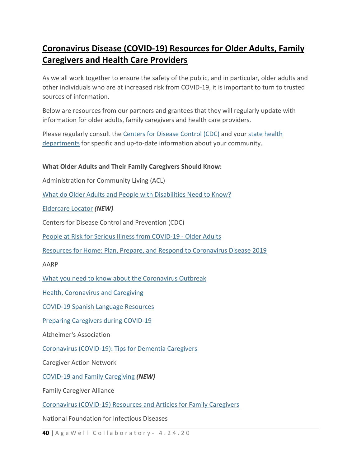# **Coronavirus Disease (COVID-19) Resources for Older Adults, Family Caregivers and Health Care Providers**

As we all work together to ensure the safety of the public, and in particular, older adults and other individuals who are at increased risk from COVID-19, it is important to turn to trusted sources of information.

Below are resources from our partners and grantees that they will regularly update with information for older adults, family caregivers and health care providers.

Please regularly consult the [Centers for Disease Control \(CDC\)](https://www.cdc.gov/coronavirus/2019-nCoV/index.html) and your [state health](https://www.cdc.gov/publichealthgateway/healthdirectories/healthdepartments.html)  [departments](https://www.cdc.gov/publichealthgateway/healthdirectories/healthdepartments.html) for specific and up-to-date information about your community.

# **What Older Adults and Their Family Caregivers Should Know:**

Administration for Community Living (ACL)

[What do Older Adults and People with Disabilities Need to Know?](https://acl.gov/COVID-19)

[Eldercare Locator](https://eldercare.acl.gov/Public/About/Index.aspx) *(NEW)*

Centers for Disease Control and Prevention (CDC)

[People at Risk for Serious Illness from COVID-19 -](https://www.cdc.gov/coronavirus/2019-ncov/specific-groups/high-risk-complications/older-adults.html) Older Adults

[Resources for Home: Plan, Prepare, and Respond to Coronavirus Disease 2019](https://www.cdc.gov/coronavirus/2019-ncov/community/home/index.html)

AARP

[What you need to know about the Coronavirus Outbreak](https://www.aarp.org/health/conditions-treatments/info-2020/coronavirus-facts.html?intcmp=AE-HP-LL1&cmp=SNO-NY-FB-HLTH&socialid=3187694307)

[Health, Coronavirus and Caregiving](https://www.aarp.org/health/?CON-HEALTH-COVID19-031220)

[COVID-19 Spanish Language Resources](https://www.aarp.org/espanol/salud/enfermedades-y-tratamientos/brote-de-coronavirus-covid-19/?migration=rdrct)

[Preparing Caregivers during COVID-19](https://www.johnahartford.org/images/uploads/resources/AARP_Coronavirus_info_05.pdf)

Alzheimer's Association

[Coronavirus \(COVID-19\): Tips for Dementia Caregivers](https://alz.org/help-support/caregiving/coronavirus-(covid-19)-tips-for-dementia-care)

Caregiver Action Network

[COVID-19 and Family Caregiving](https://caregiveraction.org/covid-19) *(NEW)*

Family Caregiver Alliance

[Coronavirus \(COVID-19\) Resources and Articles for Family Caregivers](https://www.caregiver.org/coronavirus-covid-19-resources-and-articles-family-caregivers)

National Foundation for Infectious Diseases

**40 |** AgeWell Collaboratory - 4 .24 .20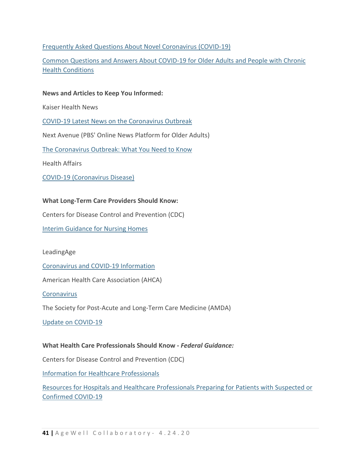# [Frequently Asked Questions About Novel Coronavirus \(COVID-19\)](https://www.nfid.org/infectious-diseases/frequently-asked-questions-about-novel-coronavirus-2019-ncov/)

[Common Questions and Answers About COVID-19 for Older Adults and People with Chronic](https://www.nfid.org/infectious-diseases/common-questions-and-answers-about-covid-19-for-older-adults-and-people-with-chronic-health-conditions/)  [Health Conditions](https://www.nfid.org/infectious-diseases/common-questions-and-answers-about-covid-19-for-older-adults-and-people-with-chronic-health-conditions/)

# **News and Articles to Keep You Informed:**

Kaiser Health News

[COVID-19 Latest News on the Coronavirus Outbreak](https://khn.org/news/tag/coronavirus/)

Next Avenue (PBS' Online News Platform for Older Adults)

[The Coronavirus Outbreak: What You Need to Know](https://www.nextavenue.org/special-report/the-coronavirus-outbreak-what-you-need-to-know/)

Health Affairs

[COVID-19 \(Coronavirus Disease\)](https://www.healthaffairs.org/covid-19-coronavirus-disease?)

# **What Long-Term Care Providers Should Know:**

Centers for Disease Control and Prevention (CDC)

[Interim Guidance for Nursing Homes](https://www.cdc.gov/coronavirus/2019-ncov/healthcare-facilities/prevent-spread-in-long-term-care-facilities.html#interim-guidance)

LeadingAge

[Coronavirus and COVID-19 Information](https://leadingage.org/covid19?_ga=2.128153551.2111644036.1583863348-1845553360.1583863348)

American Health Care Association (AHCA)

**[Coronavirus](https://www.ahcancal.org/facility_operations/disaster_planning/Pages/Coronavirus.aspx)** 

The Society for Post-Acute and Long-Term Care Medicine (AMDA)

[Update on COVID-19](https://paltc.org/COVID-19)

# **What Health Care Professionals Should Know -** *Federal Guidance:*

Centers for Disease Control and Prevention (CDC)

[Information for Healthcare Professionals](https://www.cdc.gov/coronavirus/2019-ncov/hcp/index.html)

[Resources for Hospitals and Healthcare Professionals Preparing for Patients with Suspected or](https://www.cdc.gov/coronavirus/2019-ncov/hcp/preparedness-checklists.html)  [Confirmed COVID-19](https://www.cdc.gov/coronavirus/2019-ncov/hcp/preparedness-checklists.html)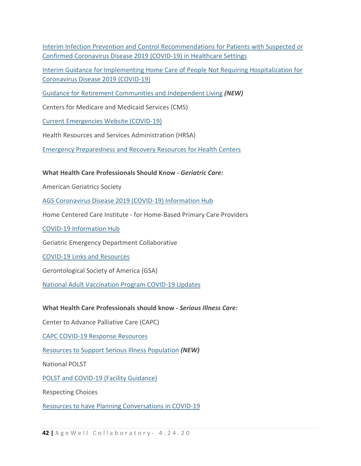[Interim Infection Prevention and Control Recommendations for Patients with Suspected](https://www.cdc.gov/coronavirus/2019-ncov/infection-control/control-recommendations.html?CDC_AA_refVal=https%3A%2F%2Fwww.cdc.gov%2Fcoronavirus%2F2019-ncov%2Fhcp%2Finfection-control.html) or [Confirmed Coronavirus Disease 2019 \(COVID-19\) in Healthcare Settings](https://www.cdc.gov/coronavirus/2019-ncov/infection-control/control-recommendations.html?CDC_AA_refVal=https%3A%2F%2Fwww.cdc.gov%2Fcoronavirus%2F2019-ncov%2Fhcp%2Finfection-control.html)

[Interim Guidance for Implementing Home Care of People Not Requiring Hospitalization for](https://www.cdc.gov/coronavirus/2019-ncov/hcp/guidance-home-care.html)  [Coronavirus Disease 2019 \(COVID-19\)](https://www.cdc.gov/coronavirus/2019-ncov/hcp/guidance-home-care.html)

[Guidance for Retirement Communities and Independent Living](https://www.cdc.gov/coronavirus/2019-ncov/community/retirement/index.html) *(NEW)*

Centers for Medicare and Medicaid Services (CMS)

[Current Emergencies Website \(COVID-19\)](https://www.cms.gov/About-CMS/Agency-Information/Emergency/EPRO/Current-Emergencies/Current-Emergencies-page)

Health Resources and Services Administration (HRSA)

[Emergency Preparedness and Recovery Resources for Health Centers](https://bphc.hrsa.gov/emergency-response?)

**What Health Care Professionals Should Know -** *Geriatric Care:*

American Geriatrics Society

[AGS Coronavirus Disease 2019 \(COVID-19\) Information Hub](https://www.americangeriatrics.org/covid19)

Home Centered Care Institute - for Home-Based Primary Care Providers

[COVID-19 Information Hub](https://www.hccinstitute.org/about/covid-19-information-hub/)

Geriatric Emergency Department Collaborative

[COVID-19 Links and Resources](https://gedcollaborative.com/article/covid-19-resources/)

Gerontological Society of America (GSA)

[National Adult Vaccination Program COVID-19 Updates](https://www.geron.org/programs-services/alliances-and-multi-stakeholder-collaborations/national-adult-vaccination-program?start=1)

**What Health Care Professionals should know -** *Serious Illness Care:*

Center to Advance Palliative Care (CAPC)

[CAPC COVID-19 Response Resources](https://www.capc.org/toolkits/covid-19-response-resources/)

[Resources to Support Serious Illness Population](https://www.thectac.org/coronavirus/) *(NEW)*

National POLST

[POLST and COVID-19 \(Facility Guidance\)](https://polst.org/covid/)

Respecting Choices

[Resources to have Planning Conversations in COVID-19](https://respectingchoices.org/covid-19-resources/#planning-conversations)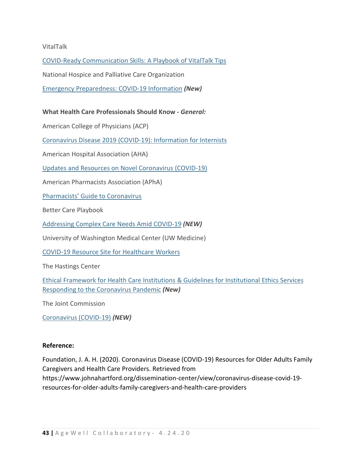# VitalTalk

[COVID-Ready Communication Skills: A Playbook of VitalTalk Tips](https://www.vitaltalk.org/guides/covid-19-communication-skills/)

National Hospice and Palliative Care Organization

[Emergency Preparedness: COVID-19 Information](https://www.nhpco.org/coronavirus) *(New)*

#### **What Health Care Professionals Should Know -** *General:*

American College of Physicians (ACP)

[Coronavirus Disease 2019 \(COVID-19\): Information for Internists](https://www.acponline.org/clinical-information/clinical-resources-products/coronavirus-disease-2019-covid-19-information-for-internists)

American Hospital Association (AHA)

[Updates and Resources on Novel Coronavirus \(COVID-19\)](https://www.aha.org/2020-01-22-updates-and-resources-novel-coronavirus-2019-cov)

American Pharmacists Association (APhA)

[Pharmacists' Guide to Coronavirus](https://www.pharmacist.com/coronavirus)

Better Care Playbook

[Addressing Complex Care Needs Amid COVID-19](https://www.bettercareplaybook.org/addressing-complex-care-needs-amid-covid-19) *(NEW)*

University of Washington Medical Center (UW Medicine)

[COVID-19 Resource Site for Healthcare Workers](https://covid-19.uwmedicine.org/Pages/default.aspx)

The Hastings Center

[Ethical Framework for Health Care Institutions &](https://www.thehastingscenter.org/ethicalframeworkcovid19/) Guidelines for Institutional Ethics Services [Responding to the Coronavirus Pandemic](https://www.thehastingscenter.org/ethicalframeworkcovid19/) *(New)*

The Joint Commission

[Coronavirus \(COVID-19\)](https://www.jointcommission.org/covid-19/) *(NEW)*

#### **Reference:**

Foundation, J. A. H. (2020). Coronavirus Disease (COVID-19) Resources for Older Adults Family Caregivers and Health Care Providers. Retrieved from https://www.johnahartford.org/dissemination-center/view/coronavirus-disease-covid-19 resources-for-older-adults-family-caregivers-and-health-care-providers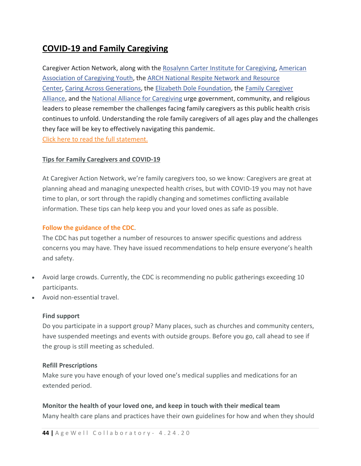# **COVID-19 and Family Caregiving**

Caregiver Action Network, along with the [Rosalynn Carter Institute for Caregiving,](https://www.facebook.com/rcicaregiving/?__tn__=%2CdK%2AF-R&eid=ARBJ6fIxAecGmd2dxuF34cX0bujP8Szsut4h5eMuWjDLQy3KM0iMkE1oY5nMl6L_sNVsBT4gOoDLsvLH) [American](https://www.facebook.com/AACaregivingYouth/?__tn__=%2CdK%2AF-R&eid=ARCg52lDOsm78-Vv2t5-9y9lpRPIfjsVOGj1zbn_sr33CyfAcXYfdwHosZmH9q-unejMZUvfTXdz64Ex)  [Association of Caregiving Youth,](https://www.facebook.com/AACaregivingYouth/?__tn__=%2CdK%2AF-R&eid=ARCg52lDOsm78-Vv2t5-9y9lpRPIfjsVOGj1zbn_sr33CyfAcXYfdwHosZmH9q-unejMZUvfTXdz64Ex) the [ARCH National Respite Network and Resource](https://www.facebook.com/archrespite/?__tn__=%2CdK%2AF-R&eid=ARDGF1rJSddMII36AIcdqKkioO-rrYdVP63giFcqOlOb6wArWAJLImZXVQGUSJLMHwQ8bLto2g-C_46Z)  [Center,](https://www.facebook.com/archrespite/?__tn__=%2CdK%2AF-R&eid=ARDGF1rJSddMII36AIcdqKkioO-rrYdVP63giFcqOlOb6wArWAJLImZXVQGUSJLMHwQ8bLto2g-C_46Z) [Caring Across Generations,](https://www.facebook.com/caringacrossgenerations/?__tn__=%2CdK%2AF-R&eid=ARBuQ7nl096IRq1uG5tzeyho5WY9wG9mXUlPibnVy3nGt2FV6xLx9Jd75Q6UBBKl-ASC7mOQQimqyQYf) the [Elizabeth Dole Foundation,](https://www.facebook.com/ElizabethDoleFoundation/?__tn__=%2CdK%2AF-R&eid=ARD9UM1k0yvmvQpcM6idMs0DsYoyOr7pZS_cgvgazDQGltOpZ7tQAKN_QlvaHHJXdRfkgY58UoA5DGYt) the [Family Caregiver](https://www.facebook.com/FamilyCaregiverAlliance/?__tn__=%2CdK%2AF-R&eid=ARA5UNXNV-6zi6UlAmjZm6D_IXv6G4LJqq2MfYBw3B07uPpMtKkh1iFhoo3FmrilCJnZxxrr3gLSpMfu)  [Alliance,](https://www.facebook.com/FamilyCaregiverAlliance/?__tn__=%2CdK%2AF-R&eid=ARA5UNXNV-6zi6UlAmjZm6D_IXv6G4LJqq2MfYBw3B07uPpMtKkh1iFhoo3FmrilCJnZxxrr3gLSpMfu) and the [National Alliance for Caregiving](https://www.facebook.com/NA4Caregiving/?__tn__=%2CdK%2AF-R&eid=ARBB_HW7x_N1wZ-_QDnPtQivgDZxI_ffBxXIKtmy7hqEdHEICP7tJ9j2bW-rICntBkC4VXla-x4dBa-p) urge government, community, and religious leaders to please remember the challenges facing family caregivers as this public health crisis continues to unfold. Understanding the role family caregivers of all ages play and the challenges they face will be key to effectively navigating this pandemic. [Click here to read the full statement.](http://ow.ly/sKJB30qtUOP)

# **Tips for Family Caregivers and COVID-19**

At Caregiver Action Network, we're family caregivers too, so we know: Caregivers are great at planning ahead and managing unexpected health crises, but with COVID-19 you may not have time to plan, or sort through the rapidly changing and sometimes conflicting available information. These tips can help keep you and your loved ones as safe as possible.

# **[Follow the guidance of the CDC](https://www.cdc.gov/coronavirus/2019-ncov/index.html)**.

The CDC has put together a number of resources to answer specific questions and address concerns you may have. They have issued recommendations to help ensure everyone's health and safety.

- Avoid large crowds. Currently, the CDC is recommending no public gatherings exceeding 10 participants.
- Avoid non-essential travel.

# **Find support**

Do you participate in a support group? Many places, such as churches and community centers, have suspended meetings and events with outside groups. Before you go, call ahead to see if the group is still meeting as scheduled.

# **Refill Prescriptions**

Make sure you have enough of your loved one's medical supplies and medications for an extended period.

**Monitor the health of your loved one, and keep in touch with their medical team** Many health care plans and practices have their own guidelines for how and when they should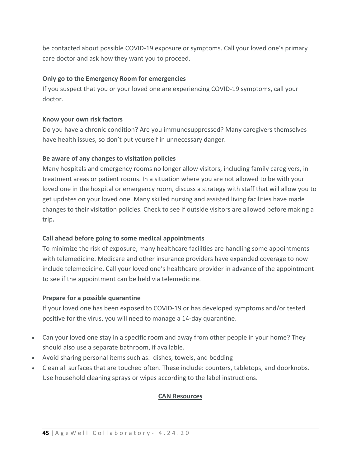be contacted about possible COVID-19 exposure or symptoms. Call your loved one's primary care doctor and ask how they want you to proceed.

# **Only go to the Emergency Room for emergencies**

If you suspect that you or your loved one are experiencing COVID-19 symptoms, call your doctor.

# **Know your own risk factors**

Do you have a chronic condition? Are you immunosuppressed? Many caregivers themselves have health issues, so don't put yourself in unnecessary danger.

# **Be aware of any changes to visitation policies**

Many hospitals and emergency rooms no longer allow visitors, including family caregivers, in treatment areas or patient rooms. In a situation where you are not allowed to be with your loved one in the hospital or emergency room, discuss a strategy with staff that will allow you to get updates on your loved one. Many skilled nursing and assisted living facilities have made changes to their visitation policies. Check to see if outside visitors are allowed before making a trip**.**

#### **Call ahead before going to some medical appointments**

To minimize the risk of exposure, many healthcare facilities are handling some appointments with telemedicine. Medicare and other insurance providers have expanded coverage to now include telemedicine. Call your loved one's healthcare provider in advance of the appointment to see if the appointment can be held via telemedicine.

#### **Prepare for a possible quarantine**

If your loved one has been exposed to COVID-19 or has developed symptoms and/or tested positive for the virus, you will need to manage a 14-day quarantine.

- Can your loved one stay in a specific room and away from other people in your home? They should also use a separate bathroom, if available.
- Avoid sharing personal items such as: dishes, towels, and bedding
- Clean all surfaces that are touched often. These include: counters, tabletops, and doorknobs. Use household cleaning sprays or wipes according to the label instructions.

# **CAN Resources**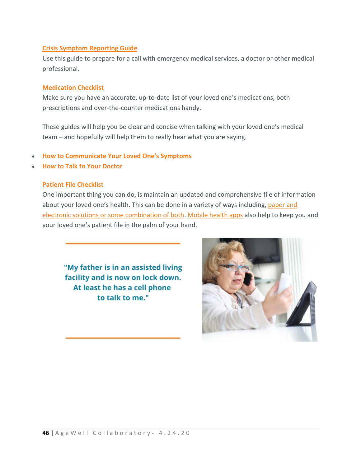# **[Crisis Symptom Reporting Guide](https://www.rarecaregivers.org/crisis-symptom-reporting-guide)**

Use this guide to prepare for a call with emergency medical services, a doctor or other medical professional.

#### **[Medication Checklist](https://caregiveraction.org/medication-checklist)**

Make sure you have an accurate, up-to-date list of your loved one's medications, both prescriptions and over-the-counter medications handy.

These guides will help you be clear and concise when talking with your loved one's medical team – and hopefully will help them to really hear what you are saying.

- **[How to Communicate Your Loved One's Symptoms](https://www.rarecaregivers.org/communicate-symptoms)**
- **[How to Talk to Your Doctor](http://https/caregiveraction.org/resources/how-talk-your-doctor)**

# **[Patient File Checklist](https://caregiveraction.org/patient-file-checklist)**

One important thing you can do, is maintain an updated and comprehensive file of information about your loved one's health. This can be done in a variety of ways including, [paper and](https://caregiveraction.org/patient-file-checklist)  [electronic solutions or some combination of both.](https://caregiveraction.org/patient-file-checklist) [Mobile health apps](https://my.backpackhealth.com/join/caregiver) also help to keep you and your loved one's patient file in the palm of your hand.

"My father is in an assisted living facility and is now on lock down. At least he has a cell phone to talk to me."

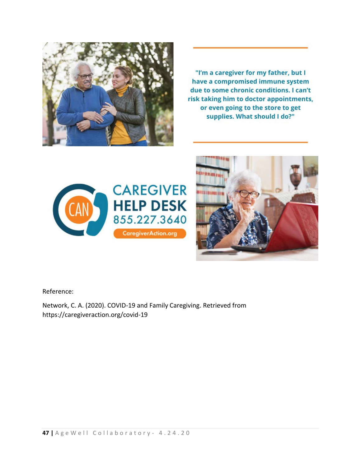

"I'm a caregiver for my father, but I have a compromised immune system due to some chronic conditions. I can't risk taking him to doctor appointments, or even going to the store to get supplies. What should I do?"





Reference:

Network, C. A. (2020). COVID-19 and Family Caregiving. Retrieved from https://caregiveraction.org/covid-19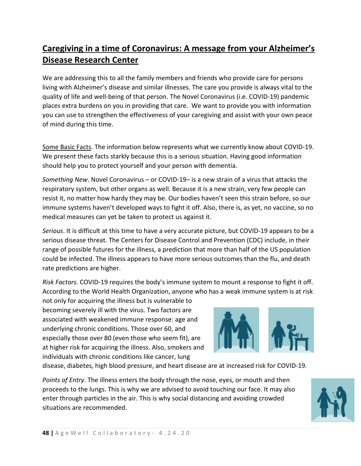# **Caregiving in a time of Coronavirus: A message from your Alzheimer's Disease Research Center**

We are addressing this to all the family members and friends who provide care for persons living with Alzheimer's disease and similar illnesses. The care you provide is always vital to the quality of life and well-being of that person. The Novel Coronavirus (i.e. COVID-19) pandemic places extra burdens on you in providing that care. We want to provide you with information you can use to strengthen the effectiveness of your caregiving and assist with your own peace of mind during this time.

Some Basic Facts. The information below represents what we currently know about COVID-19. We present these facts starkly because this is a serious situation. Having good information should help you to protect yourself and your person with dementia.

*Something New*. Novel Coronavirus – or COVID-19– is a new strain of a virus that attacks the respiratory system, but other organs as well. Because it is a new strain, very few people can resist it, no matter how hardy they may be. Our bodies haven't seen this strain before, so our immune systems haven't developed ways to fight it off. Also, there is, as yet, no vaccine, so no medical measures can yet be taken to protect us against it.

*Serious*. It is difficult at this time to have a very accurate picture, but COVID-19 appears to be a serious disease threat. The Centers for Disease Control and Prevention (CDC) include, in their range of possible futures for the illness, a prediction that more than half of the US population could be infected. The illness appears to have more serious outcomes than the flu, and death rate predictions are higher.

*Risk Factors*. COVID-19 requires the body's immune system to mount a response to fight it off. According to the World Health Organization, anyone who has a weak immune system is at risk

not only for acquiring the illness but is vulnerable to becoming severely ill with the virus. Two factors are associated with weakened immune response: age and underlying chronic conditions. Those over 60, and especially those over 80 (even those who seem fit), are at higher risk for acquiring the illness. Also, smokers and individuals with chronic conditions like cancer, lung



disease, diabetes, high blood pressure, and heart disease are at increased risk for COVID-19.

*Points of Entry*. The illness enters the body through the nose, eyes, or mouth and then proceeds to the lungs. This is why we are advised to avoid touching our face. It may also enter through particles in the air. This is why social distancing and avoiding crowded situations are recommended.

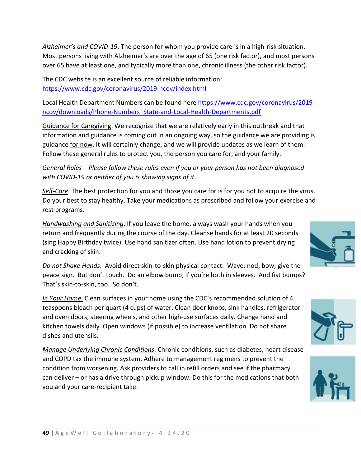*Alzheimer's and COVID-19*. The person for whom you provide care is in a high-risk situation. Most persons living with Alzheimer's are over the age of 65 (one risk factor), and most persons over 65 have at least one, and typically more than one, chronic illness (the other risk factor).

The CDC website is an excellent source of reliable information: <https://www.cdc.gov/coronavirus/2019-ncov/index.html>

Local Health Department Numbers can be found here [https://www.cdc.gov/coronavirus/2019](https://www.cdc.gov/coronavirus/2019-ncov/downloads/Phone-Numbers_State-and-Local-Health-Departments.pdf) [ncov/downloads/Phone-Numbers\\_State-and-Local-Health-Departments.pdf](https://www.cdc.gov/coronavirus/2019-ncov/downloads/Phone-Numbers_State-and-Local-Health-Departments.pdf)

Guidance for Caregiving. We recognize that we are relatively early in this outbreak and that information and guidance is coming out in an ongoing way, so the guidance we are providing is guidance for now. It will certainly change, and we will provide updates as we learn of them. Follow these general rules to protect you, the person you care for, and your family.

*General Rules – Please follow these rules even if you or your person has not been diagnosed with COVID-19 or neither of you is showing signs of it*.

*Self-Care*. The best protection for you and those you care for is for you not to acquire the virus. Do your best to stay healthy. Take your medications as prescribed and follow your exercise and rest programs.

*Handwashing and Sanitizing*. If you leave the home, always wash your hands when you return and frequently during the course of the day. Cleanse hands for at least 20 seconds (sing Happy Birthday twice). Use hand sanitizer often. Use hand lotion to prevent drying and cracking of skin.

*Do not Shake Hands*. Avoid direct skin-to-skin physical contact. Wave; nod; bow; give the peace sign. But don't touch. Do an elbow bump, if you're both in sleeves. And fist bumps? That's skin-to-skin, too. So don't.

*In Your Home.* Clean surfaces in your home using the CDC's recommended solution of 4 teaspoons bleach per quart (4 cups) of water. Clean door knobs, sink handles, refrigerator and oven doors, steering wheels, and other high-use surfaces daily. Change hand and kitchen towels daily. Open windows (if possible) to increase ventilation. Do not share dishes and utensils.

*Manage Underlying Chronic Conditions*. Chronic conditions, such as diabetes, heart disease and COPD tax the immune system. Adhere to management regimens to prevent the condition from worsening. Ask providers to call in refill orders and see if the pharmacy can deliver – or has a drive through pickup window. Do this for the medications that both you and your care-recipient take.





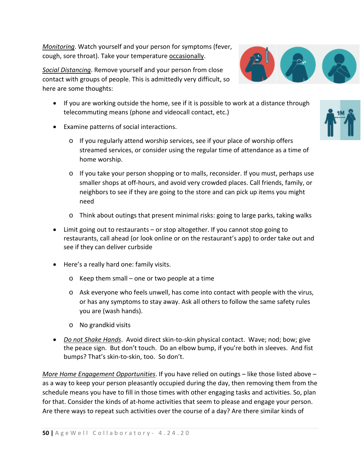*Monitoring*. Watch yourself and your person for symptoms (fever, cough, sore throat). Take your temperature occasionally.

*Social Distancing*. Remove yourself and your person from close contact with groups of people. This is admittedly very difficult, so here are some thoughts:

- If you are working outside the home, see if it is possible to work at a distance through telecommuting means (phone and videocall contact, etc.)
- Examine patterns of social interactions.
	- o If you regularly attend worship services, see if your place of worship offers streamed services, or consider using the regular time of attendance as a time of home worship.
	- o If you take your person shopping or to malls, reconsider. If you must, perhaps use smaller shops at off-hours, and avoid very crowded places. Call friends, family, or neighbors to see if they are going to the store and can pick up items you might need
	- o Think about outings that present minimal risks: going to large parks, taking walks
- Limit going out to restaurants or stop altogether. If you cannot stop going to restaurants, call ahead (or look online or on the restaurant's app) to order take out and see if they can deliver curbside
- Here's a really hard one: family visits.
	- o Keep them small one or two people at a time
	- o Ask everyone who feels unwell, has come into contact with people with the virus, or has any symptoms to stay away. Ask all others to follow the same safety rules you are (wash hands).
	- o No grandkid visits
- *Do not Shake Hands*. Avoid direct skin-to-skin physical contact. Wave; nod; bow; give the peace sign. But don't touch. Do an elbow bump, if you're both in sleeves. And fist bumps? That's skin-to-skin, too. So don't.

*More Home Engagement Opportunities*. If you have relied on outings – like those listed above – as a way to keep your person pleasantly occupied during the day, then removing them from the schedule means you have to fill in those times with other engaging tasks and activities. So, plan for that. Consider the kinds of at-home activities that seem to please and engage your person. Are there ways to repeat such activities over the course of a day? Are there similar kinds of



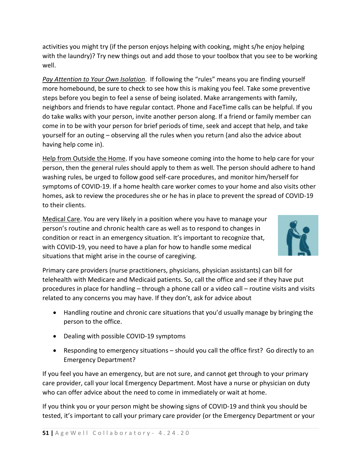activities you might try (if the person enjoys helping with cooking, might s/he enjoy helping with the laundry)? Try new things out and add those to your toolbox that you see to be working well.

*Pay Attention to Your Own Isolation*. If following the "rules" means you are finding yourself more homebound, be sure to check to see how this is making you feel. Take some preventive steps before you begin to feel a sense of being isolated. Make arrangements with family, neighbors and friends to have regular contact. Phone and FaceTime calls can be helpful. If you do take walks with your person, invite another person along. If a friend or family member can come in to be with your person for brief periods of time, seek and accept that help, and take yourself for an outing – observing all the rules when you return (and also the advice about having help come in).

Help from Outside the Home. If you have someone coming into the home to help care for your person, then the general rules should apply to them as well. The person should adhere to hand washing rules, be urged to follow good self-care procedures, and monitor him/herself for symptoms of COVID-19. If a home health care worker comes to your home and also visits other homes, ask to review the procedures she or he has in place to prevent the spread of COVID-19 to their clients.

Medical Care. You are very likely in a position where you have to manage your person's routine and chronic health care as well as to respond to changes in condition or react in an emergency situation. It's important to recognize that, with COVID-19, you need to have a plan for how to handle some medical situations that might arise in the course of caregiving.



Primary care providers (nurse practitioners, physicians, physician assistants) can bill for telehealth with Medicare and Medicaid patients. So, call the office and see if they have put procedures in place for handling – through a phone call or a video call – routine visits and visits related to any concerns you may have. If they don't, ask for advice about

- Handling routine and chronic care situations that you'd usually manage by bringing the person to the office.
- Dealing with possible COVID-19 symptoms
- Responding to emergency situations should you call the office first? Go directly to an Emergency Department?

If you feel you have an emergency, but are not sure, and cannot get through to your primary care provider, call your local Emergency Department. Most have a nurse or physician on duty who can offer advice about the need to come in immediately or wait at home.

If you think you or your person might be showing signs of COVID-19 and think you should be tested, it's important to call your primary care provider (or the Emergency Department or your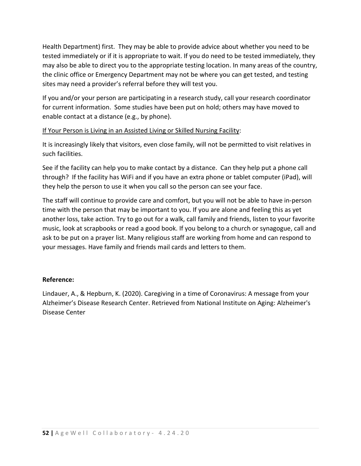Health Department) first. They may be able to provide advice about whether you need to be tested immediately or if it is appropriate to wait. If you do need to be tested immediately, they may also be able to direct you to the appropriate testing location. In many areas of the country, the clinic office or Emergency Department may not be where you can get tested, and testing sites may need a provider's referral before they will test you.

If you and/or your person are participating in a research study, call your research coordinator for current information. Some studies have been put on hold; others may have moved to enable contact at a distance (e.g., by phone).

# If Your Person is Living in an Assisted Living or Skilled Nursing Facility:

It is increasingly likely that visitors, even close family, will not be permitted to visit relatives in such facilities.

See if the facility can help you to make contact by a distance. Can they help put a phone call through? If the facility has WiFi and if you have an extra phone or tablet computer (iPad), will they help the person to use it when you call so the person can see your face.

The staff will continue to provide care and comfort, but you will not be able to have in-person time with the person that may be important to you. If you are alone and feeling this as yet another loss, take action. Try to go out for a walk, call family and friends, listen to your favorite music, look at scrapbooks or read a good book. If you belong to a church or synagogue, call and ask to be put on a prayer list. Many religious staff are working from home and can respond to your messages. Have family and friends mail cards and letters to them.

#### **Reference:**

Lindauer, A., & Hepburn, K. (2020). Caregiving in a time of Coronavirus: A message from your Alzheimer's Disease Research Center. Retrieved from National Institute on Aging: Alzheimer's Disease Center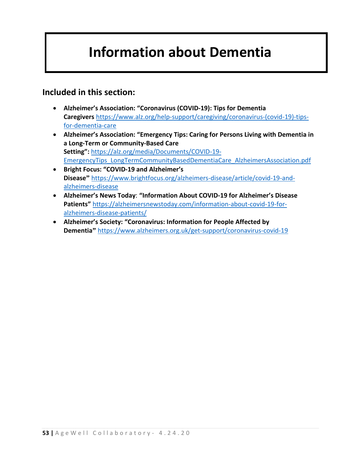# **Information about Dementia**

# **Included in this section:**

- **Alzheimer's Association: "Coronavirus (COVID-19): Tips for Dementia Caregivers** [https://www.alz.org/help-support/caregiving/coronavirus-\(covid-19\)-tips](https://www.alz.org/help-support/caregiving/coronavirus-(covid-19)-tips-for-dementia-care)[for-dementia-care](https://www.alz.org/help-support/caregiving/coronavirus-(covid-19)-tips-for-dementia-care)
- **Alzheimer's Association: "Emergency Tips: Caring for Persons Living with Dementia in a Long-Term or Community-Based Care Setting":** [https://alz.org/media/Documents/COVID-19-](https://alz.org/media/Documents/COVID-19-EmergencyTips_LongTermCommunityBasedDementiaCare_AlzheimersAssociation.pdf) [EmergencyTips\\_LongTermCommunityBasedDementiaCare\\_AlzheimersAssociation.pdf](https://alz.org/media/Documents/COVID-19-EmergencyTips_LongTermCommunityBasedDementiaCare_AlzheimersAssociation.pdf)
- **Bright Focus: "COVID-19 and Alzheimer's Disease"** [https://www.brightfocus.org/alzheimers-disease/article/covid-19-and](https://www.brightfocus.org/alzheimers-disease/article/covid-19-and-alzheimers-disease)[alzheimers-disease](https://www.brightfocus.org/alzheimers-disease/article/covid-19-and-alzheimers-disease)
- **Alzheimer's News Today**: **"Information About COVID-19 for Alzheimer's Disease Patients"** [https://alzheimersnewstoday.com/information-about-covid-19-for](https://alzheimersnewstoday.com/information-about-covid-19-for-alzheimers-disease-patients/)[alzheimers-disease-patients/](https://alzheimersnewstoday.com/information-about-covid-19-for-alzheimers-disease-patients/)
- **Alzheimer's Society: "Coronavirus: Information for People Affected by Dementia"** <https://www.alzheimers.org.uk/get-support/coronavirus-covid-19>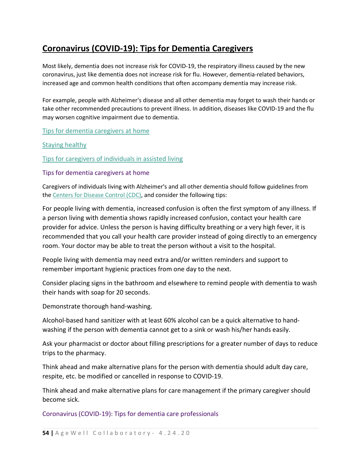# **Coronavirus (COVID-19): Tips for Dementia Caregivers**

Most likely, dementia does not increase risk for COVID-19, the respiratory illness caused by the new coronavirus, just like dementia does not increase risk for flu. However, dementia-related behaviors, increased age and common health conditions that often accompany dementia may increase risk.

For example, people with Alzheimer's disease and all other dementia may forget to wash their hands or take other recommended precautions to prevent illness. In addition, diseases like COVID-19 and the flu may worsen cognitive impairment due to dementia.

[Tips for dementia caregivers at home](https://www.alz.org/help-support/caregiving/coronavirus-(covid-19)-tips-for-dementia-care#home)

# [Staying healthy](https://www.alz.org/help-support/caregiving/coronavirus-(covid-19)-tips-for-dementia-care#healthy)

[Tips for caregivers of individuals in assisted living](https://www.alz.org/help-support/caregiving/coronavirus-(covid-19)-tips-for-dementia-care#assisted)

#### Tips for dementia caregivers at home

Caregivers of individuals living with Alzheimer's and all other dementia should follow guidelines from the [Centers for Disease Control \(CDC\),](https://www.cdc.gov/coronavirus/2019-ncov/about/prevention.html?CDC_AA_refVal=https%3A%2F%2Fwww.cdc.gov%2Fcoronavirus%2F2019-ncov%2Fabout%2Fprevention-treatment.html) and consider the following tips:

For people living with dementia, increased confusion is often the first symptom of any illness. If a person living with dementia shows rapidly increased confusion, contact your health care provider for advice. Unless the person is having difficulty breathing or a very high fever, it is recommended that you call your health care provider instead of going directly to an emergency room. Your doctor may be able to treat the person without a visit to the hospital.

People living with dementia may need extra and/or written reminders and support to remember important hygienic practices from one day to the next.

Consider placing signs in the bathroom and elsewhere to remind people with dementia to wash their hands with soap for 20 seconds.

Demonstrate thorough hand-washing.

Alcohol-based hand sanitizer with at least 60% alcohol can be a quick alternative to handwashing if the person with dementia cannot get to a sink or wash his/her hands easily.

Ask your pharmacist or doctor about filling prescriptions for a greater number of days to reduce trips to the pharmacy.

Think ahead and make alternative plans for the person with dementia should adult day care, respite, etc. be modified or cancelled in response to COVID-19.

Think ahead and make alternative plans for care management if the primary caregiver should become sick.

Coronavirus (COVID-19): Tips for dementia care professionals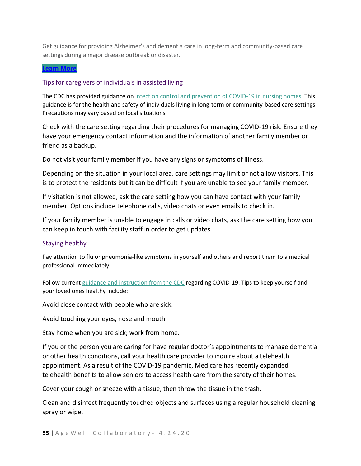Get guidance for providing Alzheimer's and dementia care in long-term and community-based care settings during a major disease outbreak or disaster.

#### **[Learn](https://www.alz.org/professionals/professional-providers/coronavirus-covid-19-tips-for-dementia-caregivers) More**

# Tips for caregivers of individuals in assisted living

The CDC has provided guidance on [infection control and prevention of COVID-19 in nursing homes.](https://www.cdc.gov/coronavirus/2019-ncov/healthcare-facilities/prevent-spread-in-long-term-care-facilities.html) This guidance is for the health and safety of individuals living in long-term or community-based care settings. Precautions may vary based on local situations.

Check with the care setting regarding their procedures for managing COVID-19 risk. Ensure they have your emergency contact information and the information of another family member or friend as a backup.

Do not visit your family member if you have any signs or symptoms of illness.

Depending on the situation in your local area, care settings may limit or not allow visitors. This is to protect the residents but it can be difficult if you are unable to see your family member.

If visitation is not allowed, ask the care setting how you can have contact with your family member. Options include telephone calls, video chats or even emails to check in.

If your family member is unable to engage in calls or video chats, ask the care setting how you can keep in touch with facility staff in order to get updates.

#### Staying healthy

Pay attention to flu or pneumonia-like symptoms in yourself and others and report them to a medical professional immediately.

Follow current [guidance and instruction from the CDC](https://www.cdc.gov/coronavirus/2019-ncov/about/prevention.html?CDC_AA_refVal=https%3A%2F%2Fwww.cdc.gov%2Fcoronavirus%2F2019-ncov%2Fabout%2Fprevention-treatment.html) regarding COVID-19. Tips to keep yourself and your loved ones healthy include:

Avoid close contact with people who are sick.

Avoid touching your eyes, nose and mouth.

Stay home when you are sick; work from home.

If you or the person you are caring for have regular doctor's appointments to manage dementia or other health conditions, call your health care provider to inquire about a telehealth appointment. As a result of the COVID-19 pandemic, Medicare has recently expanded telehealth benefits to allow seniors to access health care from the safety of their homes.

Cover your cough or sneeze with a tissue, then throw the tissue in the trash.

Clean and disinfect frequently touched objects and surfaces using a regular household cleaning spray or wipe.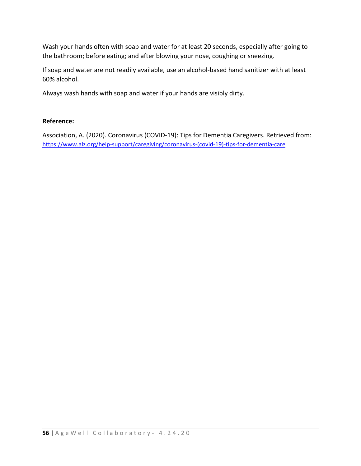Wash your hands often with soap and water for at least 20 seconds, especially after going to the bathroom; before eating; and after blowing your nose, coughing or sneezing.

If soap and water are not readily available, use an alcohol-based hand sanitizer with at least 60% alcohol.

Always wash hands with soap and water if your hands are visibly dirty.

# **Reference:**

Association, A. (2020). Coronavirus (COVID-19): Tips for Dementia Caregivers. Retrieved from: [https://www.alz.org/help-support/caregiving/coronavirus-\(covid-19\)-tips-for-dementia-care](https://www.alz.org/help-support/caregiving/coronavirus-(covid-19)-tips-for-dementia-care)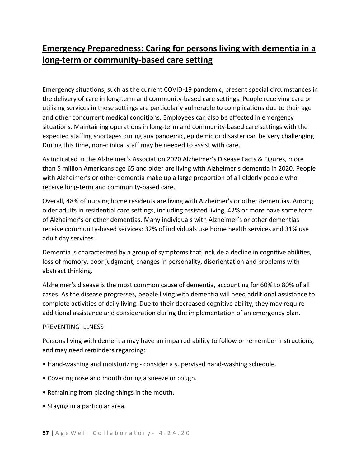# **Emergency Preparedness: Caring for persons living with dementia in a long-term or community-based care setting**

Emergency situations, such as the current COVID-19 pandemic, present special circumstances in the delivery of care in long-term and community-based care settings. People receiving care or utilizing services in these settings are particularly vulnerable to complications due to their age and other concurrent medical conditions. Employees can also be affected in emergency situations. Maintaining operations in long-term and community-based care settings with the expected staffing shortages during any pandemic, epidemic or disaster can be very challenging. During this time, non-clinical staff may be needed to assist with care.

As indicated in the Alzheimer's Association 2020 Alzheimer's Disease Facts & Figures, more than 5 million Americans age 65 and older are living with Alzheimer's dementia in 2020. People with Alzheimer's or other dementia make up a large proportion of all elderly people who receive long-term and community-based care.

Overall, 48% of nursing home residents are living with Alzheimer's or other dementias. Among older adults in residential care settings, including assisted living, 42% or more have some form of Alzheimer's or other dementias. Many individuals with Alzheimer's or other dementias receive community-based services: 32% of individuals use home health services and 31% use adult day services.

Dementia is characterized by a group of symptoms that include a decline in cognitive abilities, loss of memory, poor judgment, changes in personality, disorientation and problems with abstract thinking.

Alzheimer's disease is the most common cause of dementia, accounting for 60% to 80% of all cases. As the disease progresses, people living with dementia will need additional assistance to complete activities of daily living. Due to their decreased cognitive ability, they may require additional assistance and consideration during the implementation of an emergency plan.

# PREVENTING ILLNESS

Persons living with dementia may have an impaired ability to follow or remember instructions, and may need reminders regarding:

- Hand-washing and moisturizing consider a supervised hand-washing schedule.
- Covering nose and mouth during a sneeze or cough.
- Refraining from placing things in the mouth.
- Staying in a particular area.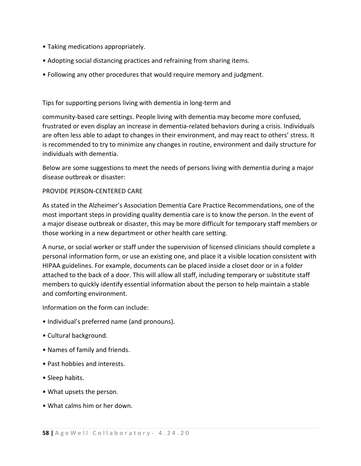- Taking medications appropriately.
- Adopting social distancing practices and refraining from sharing items.
- Following any other procedures that would require memory and judgment.

# Tips for supporting persons living with dementia in long-term and

community-based care settings. People living with dementia may become more confused, frustrated or even display an increase in dementia-related behaviors during a crisis. Individuals are often less able to adapt to changes in their environment, and may react to others' stress. It is recommended to try to minimize any changes in routine, environment and daily structure for individuals with dementia.

Below are some suggestions to meet the needs of persons living with dementia during a major disease outbreak or disaster:

# PROVIDE PERSON-CENTERED CARE

As stated in the Alzheimer's Association Dementia Care Practice Recommendations, one of the most important steps in providing quality dementia care is to know the person. In the event of a major disease outbreak or disaster, this may be more difficult for temporary staff members or those working in a new department or other health care setting.

A nurse, or social worker or staff under the supervision of licensed clinicians should complete a personal information form, or use an existing one, and place it a visible location consistent with HIPAA guidelines. For example, documents can be placed inside a closet door or in a folder attached to the back of a door. This will allow all staff, including temporary or substitute staff members to quickly identify essential information about the person to help maintain a stable and comforting environment.

Information on the form can include:

- Individual's preferred name (and pronouns).
- Cultural background.
- Names of family and friends.
- Past hobbies and interests.
- Sleep habits.
- What upsets the person.
- What calms him or her down.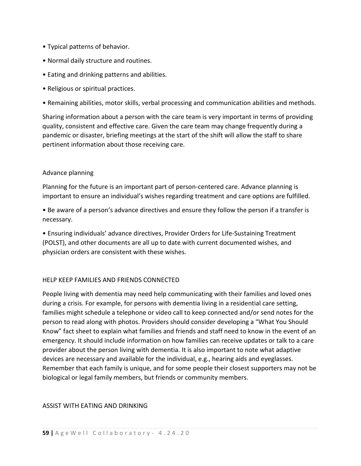- Typical patterns of behavior.
- Normal daily structure and routines.
- Eating and drinking patterns and abilities.
- Religious or spiritual practices.
- Remaining abilities, motor skills, verbal processing and communication abilities and methods.

Sharing information about a person with the care team is very important in terms of providing quality, consistent and effective care. Given the care team may change frequently during a pandemic or disaster, briefing meetings at the start of the shift will allow the staff to share pertinent information about those receiving care.

# Advance planning

Planning for the future is an important part of person-centered care. Advance planning is important to ensure an individual's wishes regarding treatment and care options are fulfilled.

• Be aware of a person's advance directives and ensure they follow the person if a transfer is necessary.

• Ensuring individuals' advance directives, Provider Orders for Life-Sustaining Treatment (POLST), and other documents are all up to date with current documented wishes, and physician orders are consistent with these wishes.

# HELP KEEP FAMILIES AND FRIENDS CONNECTED

People living with dementia may need help communicating with their families and loved ones during a crisis. For example, for persons with dementia living in a residential care setting, families might schedule a telephone or video call to keep connected and/or send notes for the person to read along with photos. Providers should consider developing a "What You Should Know" fact sheet to explain what families and friends and staff need to know in the event of an emergency. It should include information on how families can receive updates or talk to a care provider about the person living with dementia. It is also important to note what adaptive devices are necessary and available for the individual, e.g., hearing aids and eyeglasses. Remember that each family is unique, and for some people their closest supporters may not be biological or legal family members, but friends or community members.

# ASSIST WITH EATING AND DRINKING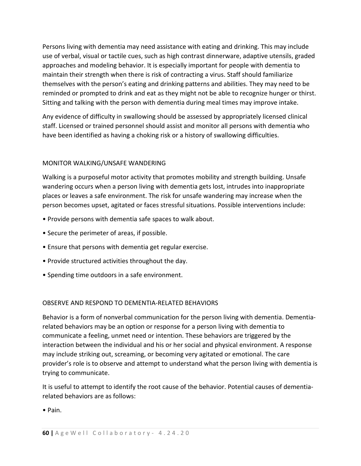Persons living with dementia may need assistance with eating and drinking. This may include use of verbal, visual or tactile cues, such as high contrast dinnerware, adaptive utensils, graded approaches and modeling behavior. It is especially important for people with dementia to maintain their strength when there is risk of contracting a virus. Staff should familiarize themselves with the person's eating and drinking patterns and abilities. They may need to be reminded or prompted to drink and eat as they might not be able to recognize hunger or thirst. Sitting and talking with the person with dementia during meal times may improve intake.

Any evidence of difficulty in swallowing should be assessed by appropriately licensed clinical staff. Licensed or trained personnel should assist and monitor all persons with dementia who have been identified as having a choking risk or a history of swallowing difficulties.

# MONITOR WALKING/UNSAFE WANDERING

Walking is a purposeful motor activity that promotes mobility and strength building. Unsafe wandering occurs when a person living with dementia gets lost, intrudes into inappropriate places or leaves a safe environment. The risk for unsafe wandering may increase when the person becomes upset, agitated or faces stressful situations. Possible interventions include:

- Provide persons with dementia safe spaces to walk about.
- Secure the perimeter of areas, if possible.
- Ensure that persons with dementia get regular exercise.
- Provide structured activities throughout the day.
- Spending time outdoors in a safe environment.

#### OBSERVE AND RESPOND TO DEMENTIA-RELATED BEHAVIORS

Behavior is a form of nonverbal communication for the person living with dementia. Dementiarelated behaviors may be an option or response for a person living with dementia to communicate a feeling, unmet need or intention. These behaviors are triggered by the interaction between the individual and his or her social and physical environment. A response may include striking out, screaming, or becoming very agitated or emotional. The care provider's role is to observe and attempt to understand what the person living with dementia is trying to communicate.

It is useful to attempt to identify the root cause of the behavior. Potential causes of dementiarelated behaviors are as follows:

• Pain.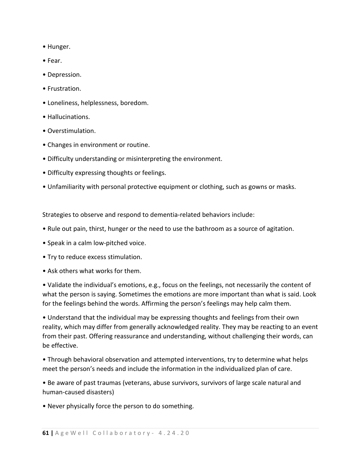- Hunger.
- Fear.
- Depression.
- Frustration.
- Loneliness, helplessness, boredom.
- Hallucinations.
- Overstimulation.
- Changes in environment or routine.
- Difficulty understanding or misinterpreting the environment.
- Difficulty expressing thoughts or feelings.
- Unfamiliarity with personal protective equipment or clothing, such as gowns or masks.

Strategies to observe and respond to dementia-related behaviors include:

- Rule out pain, thirst, hunger or the need to use the bathroom as a source of agitation.
- Speak in a calm low-pitched voice.
- Try to reduce excess stimulation.
- Ask others what works for them.

• Validate the individual's emotions, e.g., focus on the feelings, not necessarily the content of what the person is saying. Sometimes the emotions are more important than what is said. Look for the feelings behind the words. Affirming the person's feelings may help calm them.

• Understand that the individual may be expressing thoughts and feelings from their own reality, which may differ from generally acknowledged reality. They may be reacting to an event from their past. Offering reassurance and understanding, without challenging their words, can be effective.

• Through behavioral observation and attempted interventions, try to determine what helps meet the person's needs and include the information in the individualized plan of care.

• Be aware of past traumas (veterans, abuse survivors, survivors of large scale natural and human-caused disasters)

• Never physically force the person to do something.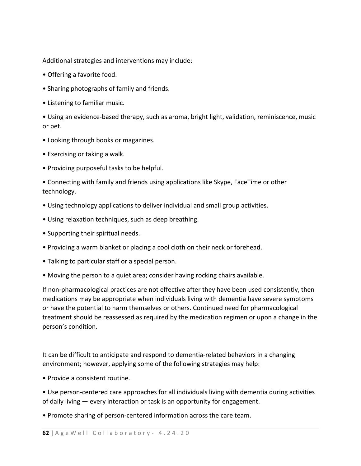Additional strategies and interventions may include:

- Offering a favorite food.
- Sharing photographs of family and friends.
- Listening to familiar music.

• Using an evidence-based therapy, such as aroma, bright light, validation, reminiscence, music or pet.

- Looking through books or magazines.
- Exercising or taking a walk.
- Providing purposeful tasks to be helpful.

• Connecting with family and friends using applications like Skype, FaceTime or other technology.

- Using technology applications to deliver individual and small group activities.
- Using relaxation techniques, such as deep breathing.
- Supporting their spiritual needs.
- Providing a warm blanket or placing a cool cloth on their neck or forehead.
- Talking to particular staff or a special person.
- Moving the person to a quiet area; consider having rocking chairs available.

If non-pharmacological practices are not effective after they have been used consistently, then medications may be appropriate when individuals living with dementia have severe symptoms or have the potential to harm themselves or others. Continued need for pharmacological treatment should be reassessed as required by the medication regimen or upon a change in the person's condition.

It can be difficult to anticipate and respond to dementia-related behaviors in a changing environment; however, applying some of the following strategies may help:

- Provide a consistent routine.
- Use person-centered care approaches for all individuals living with dementia during activities of daily living — every interaction or task is an opportunity for engagement.
- Promote sharing of person-centered information across the care team.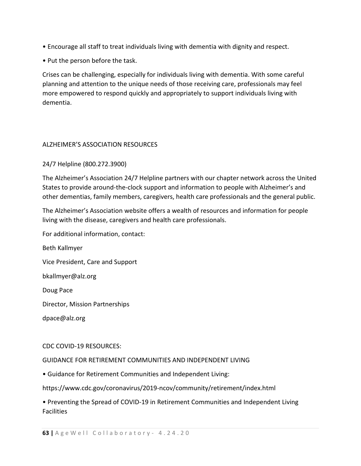- Encourage all staff to treat individuals living with dementia with dignity and respect.
- Put the person before the task.

Crises can be challenging, especially for individuals living with dementia. With some careful planning and attention to the unique needs of those receiving care, professionals may feel more empowered to respond quickly and appropriately to support individuals living with dementia.

# ALZHEIMER'S ASSOCIATION RESOURCES

# 24/7 Helpline (800.272.3900)

The Alzheimer's Association 24/7 Helpline partners with our chapter network across the United States to provide around-the-clock support and information to people with Alzheimer's and other dementias, family members, caregivers, health care professionals and the general public.

The Alzheimer's Association website offers a wealth of resources and information for people living with the disease, caregivers and health care professionals.

For additional information, contact:

Beth Kallmyer

Vice President, Care and Support

bkallmyer@alz.org

Doug Pace

Director, Mission Partnerships

dpace@alz.org

#### CDC COVID-19 RESOURCES:

#### GUIDANCE FOR RETIREMENT COMMUNITIES AND INDEPENDENT LIVING

• Guidance for Retirement Communities and Independent Living:

https://www.cdc.gov/coronavirus/2019-ncov/community/retirement/index.html

• Preventing the Spread of COVID-19 in Retirement Communities and Independent Living Facilities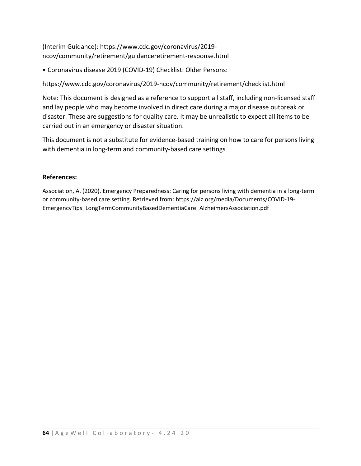(Interim Guidance): https://www.cdc.gov/coronavirus/2019 ncov/community/retirement/guidanceretirement-response.html

• Coronavirus disease 2019 (COVID-19) Checklist: Older Persons:

https://www.cdc.gov/coronavirus/2019-ncov/community/retirement/checklist.html

Note: This document is designed as a reference to support all staff, including non-licensed staff and lay people who may become involved in direct care during a major disease outbreak or disaster. These are suggestions for quality care. It may be unrealistic to expect all items to be carried out in an emergency or disaster situation.

This document is not a substitute for evidence-based training on how to care for persons living with dementia in long-term and community-based care settings

# **References:**

Association, A. (2020). Emergency Preparedness: Caring for persons living with dementia in a long-term or community-based care setting. Retrieved from: https://alz.org/media/Documents/COVID-19- EmergencyTips\_LongTermCommunityBasedDementiaCare\_AlzheimersAssociation.pdf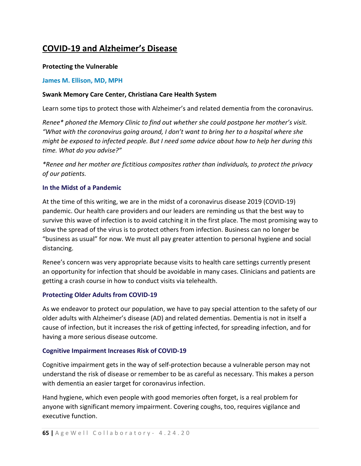# **COVID-19 and Alzheimer's Disease**

# **Protecting the Vulnerable**

# **[James M. Ellison, MD, MPH](https://www.brightfocus.org/bio/james-m-ellison-md-mph)**

# **Swank Memory Care Center, Christiana Care Health System**

Learn some tips to protect those with Alzheimer's and related dementia from the coronavirus.

*Renee\* phoned the Memory Clinic to find out whether she could postpone her mother's visit. "What with the coronavirus going around, I don't want to bring her to a hospital where she might be exposed to infected people. But I need some advice about how to help her during this time. What do you advise?"*

*\*Renee and her mother are fictitious composites rather than individuals, to protect the privacy of our patients.*

# **In the Midst of a Pandemic**

At the time of this writing, we are in the midst of a coronavirus disease 2019 (COVID-19) pandemic. Our health care providers and our leaders are reminding us that the best way to survive this wave of infection is to avoid catching it in the first place. The most promising way to slow the spread of the virus is to protect others from infection. Business can no longer be "business as usual" for now. We must all pay greater attention to personal hygiene and social distancing.

Renee's concern was very appropriate because visits to health care settings currently present an opportunity for infection that should be avoidable in many cases. Clinicians and patients are getting a crash course in how to conduct visits via telehealth.

#### **Protecting Older Adults from COVID-19**

As we endeavor to protect our population, we have to pay special attention to the safety of our older adults with Alzheimer's disease (AD) and related dementias. Dementia is not in itself a cause of infection, but it increases the risk of getting infected, for spreading infection, and for having a more serious disease outcome.

#### **Cognitive Impairment Increases Risk of COVID-19**

Cognitive impairment gets in the way of self-protection because a vulnerable person may not understand the risk of disease or remember to be as careful as necessary. This makes a person with dementia an easier target for coronavirus infection.

Hand hygiene, which even people with good memories often forget, is a real problem for anyone with significant memory impairment. Covering coughs, too, requires vigilance and executive function.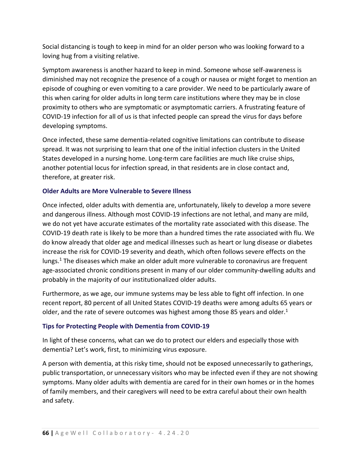Social distancing is tough to keep in mind for an older person who was looking forward to a loving hug from a visiting relative.

Symptom awareness is another hazard to keep in mind. Someone whose self-awareness is diminished may not recognize the presence of a cough or nausea or might forget to mention an episode of coughing or even vomiting to a care provider. We need to be particularly aware of this when caring for older adults in long term care institutions where they may be in close proximity to others who are symptomatic or asymptomatic carriers. A frustrating feature of COVID-19 infection for all of us is that infected people can spread the virus for days before developing symptoms.

Once infected, these same dementia-related cognitive limitations can contribute to disease spread. It was not surprising to learn that one of the initial infection clusters in the United States developed in a nursing home. Long-term care facilities are much like cruise ships, another potential locus for infection spread, in that residents are in close contact and, therefore, at greater risk.

# **Older Adults are More Vulnerable to Severe Illness**

Once infected, older adults with dementia are, unfortunately, likely to develop a more severe and dangerous illness. Although most COVID-19 infections are not lethal, and many are mild, we do not yet have accurate estimates of the mortality rate associated with this disease. The COVID-19 death rate is likely to be more than a hundred times the rate associated with flu. We do know already that older age and medical illnesses such as heart or lung disease or diabetes increase the risk for COVID-19 severity and death, which often follows severe effects on the lungs.1 The diseases which make an older adult more vulnerable to coronavirus are frequent age-associated chronic conditions present in many of our older community-dwelling adults and probably in the majority of our institutionalized older adults.

Furthermore, as we age, our immune systems may be less able to fight off infection. In one recent report, 80 percent of all United States COVID-19 deaths were among adults 65 years or older, and the rate of severe outcomes was highest among those 85 years and older.<sup>1</sup>

#### **Tips for Protecting People with Dementia from COVID-19**

In light of these concerns, what can we do to protect our elders and especially those with dementia? Let's work, first, to minimizing virus exposure.

A person with dementia, at this risky time, should not be exposed unnecessarily to gatherings, public transportation, or unnecessary visitors who may be infected even if they are not showing symptoms. Many older adults with dementia are cared for in their own homes or in the homes of family members, and their caregivers will need to be extra careful about their own health and safety.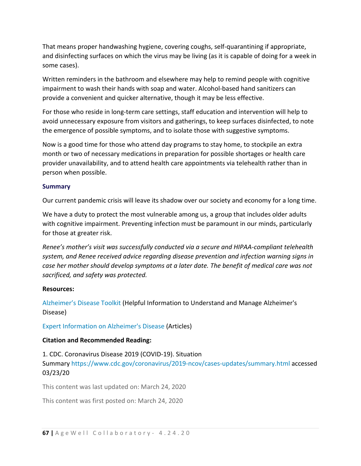That means proper handwashing hygiene, covering coughs, self-quarantining if appropriate, and disinfecting surfaces on which the virus may be living (as it is capable of doing for a week in some cases).

Written reminders in the bathroom and elsewhere may help to remind people with cognitive impairment to wash their hands with soap and water. Alcohol-based hand sanitizers can provide a convenient and quicker alternative, though it may be less effective.

For those who reside in long-term care settings, staff education and intervention will help to avoid unnecessary exposure from visitors and gatherings, to keep surfaces disinfected, to note the emergence of possible symptoms, and to isolate those with suggestive symptoms.

Now is a good time for those who attend day programs to stay home, to stockpile an extra month or two of necessary medications in preparation for possible shortages or health care provider unavailability, and to attend health care appointments via telehealth rather than in person when possible.

#### **Summary**

Our current pandemic crisis will leave its shadow over our society and economy for a long time.

We have a duty to protect the most vulnerable among us, a group that includes older adults with cognitive impairment. Preventing infection must be paramount in our minds, particularly for those at greater risk.

*Renee's mother's visit was successfully conducted via a secure and HIPAA-compliant telehealth system, and Renee received advice regarding disease prevention and infection warning signs in case her mother should develop symptoms at a later date. The benefit of medical care was not sacrificed, and safety was protected.*

# **Resources:**

[Alzheimer's Disease Toolkit](https://www.brightfocus.org/alzheimers) (Helpful Information to Understand and Manage Alzheimer's Disease)

[Expert Information on Alzheimer's Disease](https://www.brightfocus.org/experts-advice?field_post_type_value=Expert&field_disease_tid=2&field_topic_tid=All&field_disease_stage_tid=All) (Articles)

# **Citation and Recommended Reading:**

1. CDC. Coronavirus Disease 2019 (COVID-19). Situation Summary <https://www.cdc.gov/coronavirus/2019-ncov/cases-updates/summary.html> accessed 03/23/20

This content was last updated on: March 24, 2020

This content was first posted on: March 24, 2020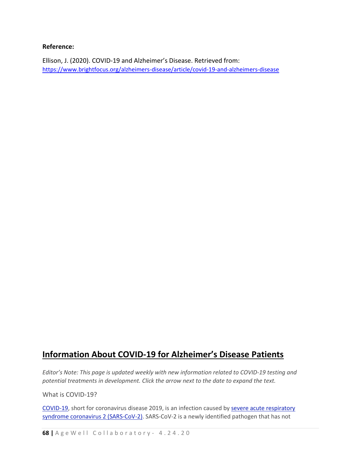#### **Reference:**

Ellison, J. (2020). COVID-19 and Alzheimer's Disease. Retrieved from: <https://www.brightfocus.org/alzheimers-disease/article/covid-19-and-alzheimers-disease>

# **Information About COVID-19 for Alzheimer's Disease Patients**

*Editor's Note: This page is updated weekly with new information related to COVID-19 testing and potential treatments in development. Click the arrow next to the date to expand the text.*

What is COVID-19?

[COVID-19,](https://www.dhs.wisconsin.gov/disease/covid-19.htm) short for coronavirus disease 2019, is an infection caused by severe acute [respiratory](https://www.nature.com/articles/s41564-020-0695-z) syndrome coronavirus 2 [\(SARS-CoV-2\).](https://www.nature.com/articles/s41564-020-0695-z) SARS-CoV-2 is a newly identified pathogen that has not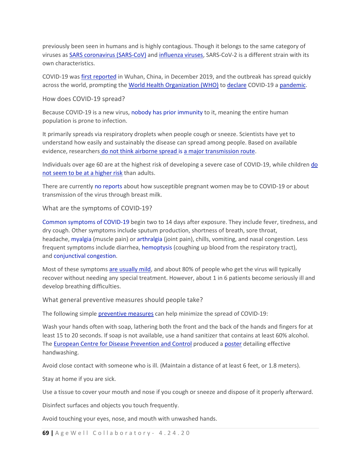previously been seen in humans and is highly contagious. Though it belongs to the same category of viruses as SARS [coronavirus](https://www.who.int/ith/diseases/sars/en/) (SARS-CoV) and [influenza](https://www.cdc.gov/flu/about/viruses/index.htm) viruses, SARS-CoV-2 is a different strain with its own characteristics.

COVID-19 was first [reported](https://www.who.int/csr/don/05-january-2020-pneumonia-of-unkown-cause-china/en/) in Wuhan, China, in December 2019, and the outbreak has spread quickly across the world, prompting the World Health [Organization](https://www.who.int/) (WHO) to [declare](https://www.who.int/dg/speeches/detail/who-director-general-s-opening-remarks-at-the-media-briefing-on-covid-19---11-march-2020) COVID-19 a [pandemic.](https://www.who.int/csr/disease/swineflu/frequently_asked_questions/pandemic/en/)

How does COVID-19 spread?

Because COVID-19 is a new virus, nobody has prior [immunity](https://www.ecdc.europa.eu/en/novel-coronavirus-china/questions-answers) to it, meaning the entire human population is prone to infection.

It primarily spreads via respiratory droplets when people cough or sneeze. Scientists have yet to understand how easily and sustainably the disease can spread among people. Based on available evidence, researchers do not think airborne spread is a major [transmission](http://www.cidrap.umn.edu/news-perspective/2020/03/commentary-covid-19-transmission-messages-should-hinge-science) route.

Individuals over age 60 are at the highest risk of developing a severe case of COVID-19, while children [do](https://www.cdc.gov/coronavirus/2019-ncov/prepare/children-faq.html?CDC_AA_refVal=https%3A%2F%2Fwww.cdc.gov%2Fcoronavirus%2F2019-ncov%2Fspecific-groups%2Fchildren-faq.html) not seem to be at a [higher](https://www.cdc.gov/coronavirus/2019-ncov/prepare/children-faq.html?CDC_AA_refVal=https%3A%2F%2Fwww.cdc.gov%2Fcoronavirus%2F2019-ncov%2Fspecific-groups%2Fchildren-faq.html) risk than adults.

There are currently no [reports](https://www.cdc.gov/coronavirus/2019-ncov/specific-groups/pregnant-women-and-children.html) about how susceptible pregnant women may be to COVID-19 or about transmission of the virus through breast milk.

What are the symptoms of COVID-19?

Common [symptoms](https://www.who.int/news-room/q-a-detail/q-a-coronaviruses) of COVID-19 begin two to 14 days after exposure. They include fever, tiredness, and dry cough. Other symptoms include sputum production, shortness of breath, sore throat, headache, [myalgia](https://www.hopkinsmedicine.org/health/conditions-and-diseases/myalgia) (muscle pain) or [arthralgia](https://www.ncbi.nlm.nih.gov/books/NBK303/) (joint pain), chills, vomiting, and nasal congestion. Less frequent symptoms include diarrhea, [hemoptysis](https://www.aafp.org/afp/2005/1001/p1253.html) (coughing up blood from the respiratory tract), and [conjunctival](https://onlinelibrary.wiley.com/doi/full/10.1002/jmv.25725) congestion.

Most of these symptoms are [usually](https://www.who.int/news-room/q-a-detail/q-a-coronaviruses) mild, and about 80% of people who get the virus will typically recover without needing any special treatment. However, about 1 in 6 patients become seriously ill and develop breathing difficulties.

What general preventive measures should people take?

The following simple [preventive](http://www.childrenshospital.org/conditions-and-treatments/conditions/c/coronavirus) measures can help minimize the spread of COVID-19:

Wash your hands often with soap, lathering both the front and the back of the hands and fingers for at least 15 to 20 seconds. If soap is not available, use a hand sanitizer that contains at least 60% alcohol. The European Centre for Disease [Prevention](http://ecdc.europa.eu/en) and Control produced a [poster](https://www.ecdc.europa.eu/en/publications-data/poster-effective-hand-washing) detailing effective handwashing.

Avoid close contact with someone who is ill. (Maintain a distance of at least 6 feet, or 1.8 meters).

Stay at home if you are sick.

Use a tissue to cover your mouth and nose if you cough or sneeze and dispose of it properly afterward.

Disinfect surfaces and objects you touch frequently.

Avoid touching your eyes, nose, and mouth with unwashed hands.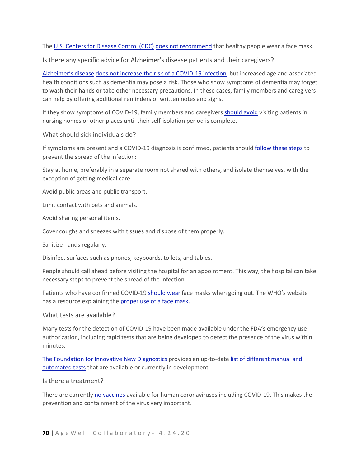The U.S. [Centers](https://www.cdc.gov/) for Disease Control (CDC) does not [recommend](https://www.cdc.gov/coronavirus/2019-ncov/prepare/prevention.html) that healthy people wear a face mask.

Is there any specific advice for Alzheimer's disease patients and their caregivers?

[Alzheimer's](https://alzheimersnewstoday.com/what-is-alzheimers-disease/) disease does not increase the risk of a [COVID-19](https://www.alz.org/help-support/caregiving/coronavirus-(covid-19)-tips-for-dementia-care) infection, but increased age and associated health conditions such as dementia may pose a risk. Those who show symptoms of dementia may forget to wash their hands or take other necessary precautions. In these cases, family members and caregivers can help by offering additional reminders or written notes and signs.

If they show symptoms of COVID-19, family members and caregivers [should](https://www.alz.org/help-support/caregiving/coronavirus-(covid-19)-tips-for-dementia-care) avoid visiting patients in nursing homes or other places until their self-isolation period is complete.

What should sick individuals do?

If symptoms are present and a COVID-19 diagnosis is confirmed, patients should [follow](https://www.cdc.gov/coronavirus/2019-ncov/about/steps-when-sick.html) these steps to prevent the spread of the infection:

Stay at home, preferably in a separate room not shared with others, and isolate themselves, with the exception of getting medical care.

Avoid public areas and public transport.

Limit contact with pets and animals.

Avoid sharing personal items.

Cover coughs and sneezes with tissues and dispose of them properly.

Sanitize hands regularly.

Disinfect surfaces such as phones, keyboards, toilets, and tables.

People should call ahead before visiting the hospital for an appointment. This way, the hospital can take necessary steps to prevent the spread of the infection.

Patients who have confirmed COVID-19 [should](https://www.cdc.gov/coronavirus/2019-ncov/faq.html) wear face masks when going out. The WHO's website has a resource explaining the [proper](https://www.who.int/emergencies/diseases/novel-coronavirus-2019/advice-for-public/when-and-how-to-use-masks) use of a face mask.

What tests are available?

Many tests for the detection of COVID-19 have been made available under the FDA's emergency use authorization, including rapid tests that are being developed to detect the presence of the virus within minutes.

The [Foundation](https://www.finddx.org/) for Innovative New Diagnostics provides an up-to-date list of [different](https://www.finddx.org/covid-19/pipeline/) manual and [automated](https://www.finddx.org/covid-19/pipeline/) tests that are available or currently in development.

Is there a treatment?

There are currently no [vaccines](http://www.childrenshospital.org/conditions-and-treatments/conditions/c/coronavirus) available for human coronaviruses including COVID-19. This makes the prevention and containment of the virus very important.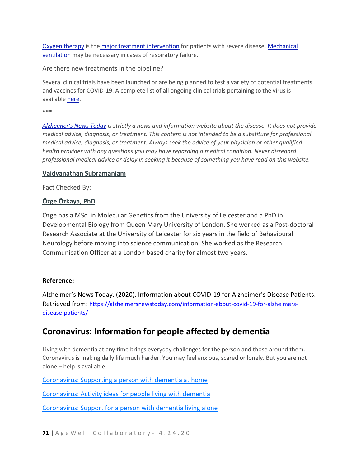Oxygen [therapy](https://www.nhlbi.nih.gov/health-topics/oxygen-therapy) is the major treatment [intervention](https://www.ncbi.nlm.nih.gov/books/NBK554776/) for patients with severe disease. [Mechanical](https://www.thoracic.org/patients/patient-resources/resources/mechanical-ventilation.pdf) [ventilation](https://www.thoracic.org/patients/patient-resources/resources/mechanical-ventilation.pdf) may be necessary in cases of respiratory failure.

Are there new treatments in the pipeline?

Several clinical trials have been launched or are being planned to test a variety of potential treatments and vaccines for COVID-19. A complete list of all ongoing clinical trials pertaining to the virus is available [here.](https://clinicaltrials.gov/ct2/results?cond=&term=covid-19&cntry=&state=&city=&dist=)

\*\*\*

*[Alzheimer's](https://alzheimersnewstoday.com/) News Today is strictly a news and information website about the disease. It does not provide medical advice, diagnosis, or treatment. This content is not intended to be a substitute for professional medical advice, diagnosis, or treatment. Always seek the advice of your physician or other qualified health provider with any questions you may have regarding a medical condition. Never disregard professional medical advice or delay in seeking it because of something you have read on this website.*

#### **Vaidyanathan [Subramaniam](https://alzheimersnewstoday.com/author/vaidyanathan-subramaniam/)**

Fact Checked By:

# **Özge [Özkaya,](https://alzheimersnewstoday.com/author/ozge-ozkaya/) PhD**

Özge has a MSc. in Molecular Genetics from the University of Leicester and a PhD in Developmental Biology from Queen Mary University of London. She worked as a Post-doctoral Research Associate at the University of Leicester for six years in the field of Behavioural Neurology before moving into science communication. She worked as the Research Communication Officer at a London based charity for almost two years.

#### **Reference:**

Alzheimer's News Today. (2020). Information about COVID-19 for Alzheimer's Disease Patients. Retrieved from: [https://alzheimersnewstoday.com/information-about-covid-19-for-alzheimers](https://alzheimersnewstoday.com/information-about-covid-19-for-alzheimers-disease-patients/)[disease-patients/](https://alzheimersnewstoday.com/information-about-covid-19-for-alzheimers-disease-patients/)

# **Coronavirus: Information for people affected by dementia**

Living with dementia at any time brings everyday challenges for the person and those around them. Coronavirus is making daily life much harder. You may feel anxious, scared or lonely. But you are not alone – help is available.

[Coronavirus: Supporting a person with dementia at home](https://www.alzheimers.org.uk/get-support/coronavirus-supporting-person-dementia-home#content-start)

[Coronavirus: Activity ideas for people living with dementia](https://www.alzheimers.org.uk/get-support/coronavirus-activity-ideas-people-living-dementia#content-start)

[Coronavirus: Support for a person with dementia living alone](https://www.alzheimers.org.uk/get-support/coronavirus-support-person-dementia-living-alone#content-start)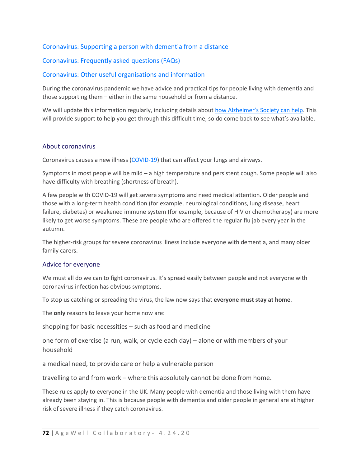## [Coronavirus: Supporting a person with dementia from a distance](https://www.alzheimers.org.uk/get-support/coronavirus-supporting-person-dementia-distance#content-start)

[Coronavirus: Frequently asked questions \(FAQs\)](https://www.alzheimers.org.uk/get-support/coronavirus-faqs#content-start)

[Coronavirus: Other useful organisations and information](https://www.alzheimers.org.uk/get-support/coronavirus-useful-organisations-information#content-start)

During the coronavirus pandemic we have advice and practical tips for people living with dementia and those supporting them – either in the same household or from a distance.

We will update this information regularly, including details about [how Alzheimer's Society can help.](https://www.alzheimers.org.uk/coronavirus) This will provide support to help you get through this difficult time, so do come back to see what's available.

#### About coronavirus

Coronavirus causes a new illness [\(COVID-19\)](https://www.nhs.uk/conditions/coronavirus-covid-19/) that can affect your lungs and airways.

Symptoms in most people will be mild – a high temperature and persistent cough. Some people will also have difficulty with breathing (shortness of breath).

A few people with COVID-19 will get severe symptoms and need medical attention. Older people and those with a long-term health condition (for example, neurological conditions, lung disease, heart failure, diabetes) or weakened immune system (for example, because of HIV or chemotherapy) are more likely to get worse symptoms. These are people who are offered the regular flu jab every year in the autumn.

The higher-risk groups for severe coronavirus illness include everyone with dementia, and many older family carers.

#### Advice for everyone

We must all do we can to fight coronavirus. It's spread easily between people and not everyone with coronavirus infection has obvious symptoms.

To stop us catching or spreading the virus, the law now says that **everyone must stay at home**.

The **only** reasons to leave your home now are:

shopping for basic necessities – such as food and medicine

one form of exercise (a run, walk, or cycle each day) – alone or with members of your household

a medical need, to provide care or help a vulnerable person

travelling to and from work – where this absolutely cannot be done from home.

These rules apply to everyone in the UK. Many people with dementia and those living with them have already been staying in. This is because people with dementia and older people in general are at higher risk of severe illness if they catch coronavirus.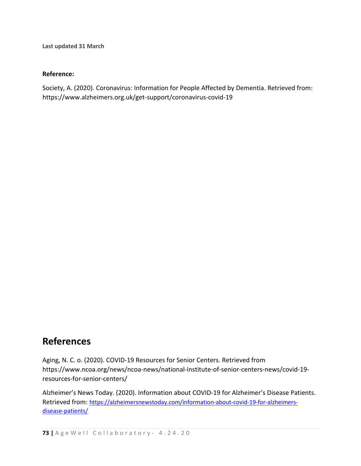**Last updated 31 March**

### **Reference:**

Society, A. (2020). Coronavirus: Information for People Affected by Dementia. Retrieved from: https://www.alzheimers.org.uk/get-support/coronavirus-covid-19

# **References**

Aging, N. C. o. (2020). COVID-19 Resources for Senior Centers. Retrieved from https://www.ncoa.org/news/ncoa-news/national-institute-of-senior-centers-news/covid-19 resources-for-senior-centers/ 

Alzheimer's News Today. (2020). Information about COVID-19 for Alzheimer's Disease Patients. Retrieved from: [https://alzheimersnewstoday.com/information-about-covid-19-for-alzheimers](https://alzheimersnewstoday.com/information-about-covid-19-for-alzheimers-disease-patients/)[disease-patients/](https://alzheimersnewstoday.com/information-about-covid-19-for-alzheimers-disease-patients/)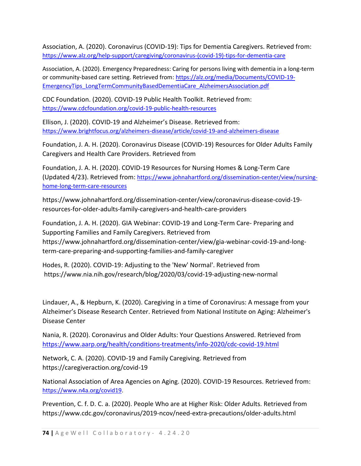Association, A. (2020). Coronavirus (COVID-19): Tips for Dementia Caregivers. Retrieved from: [https://www.alz.org/help-support/caregiving/coronavirus-\(covid-19\)-tips-for-dementia-care](https://www.alz.org/help-support/caregiving/coronavirus-(covid-19)-tips-for-dementia-care)

Association, A. (2020). Emergency Preparedness: Caring for persons living with dementia in a long-term or community-based care setting. Retrieved from: [https://alz.org/media/Documents/COVID-19-](https://alz.org/media/Documents/COVID-19-EmergencyTips_LongTermCommunityBasedDementiaCare_AlzheimersAssociation.pdf) [EmergencyTips\\_LongTermCommunityBasedDementiaCare\\_AlzheimersAssociation.pdf](https://alz.org/media/Documents/COVID-19-EmergencyTips_LongTermCommunityBasedDementiaCare_AlzheimersAssociation.pdf)

CDC Foundation. (2020). COVID-19 Public Health Toolkit. Retrieved from: <https://www.cdcfoundation.org/covid-19-public-health-resources>

Ellison, J. (2020). COVID-19 and Alzheimer's Disease. Retrieved from: <https://www.brightfocus.org/alzheimers-disease/article/covid-19-and-alzheimers-disease>

Foundation, J. A. H. (2020). Coronavirus Disease (COVID-19) Resources for Older Adults Family Caregivers and Health Care Providers. Retrieved from

Foundation, J. A. H. (2020). COVID-19 Resources for Nursing Homes & Long-Term Care (Updated 4/23). Retrieved from: [https://www.johnahartford.org/dissemination-center/view/nursing](https://www.johnahartford.org/dissemination-center/view/nursing-home-long-term-care-resources)[home-long-term-care-resources](https://www.johnahartford.org/dissemination-center/view/nursing-home-long-term-care-resources)

https://www.johnahartford.org/dissemination-center/view/coronavirus-disease-covid-19 resources-for-older-adults-family-caregivers-and-health-care-providers

Foundation, J. A. H. (2020). GIA Webinar: COVID-19 and Long-Term Care- Preparing and Supporting Families and Family Caregivers. Retrieved from https://www.johnahartford.org/dissemination-center/view/gia-webinar-covid-19-and-longterm-care-preparing-and-supporting-families-and-family-caregiver

Hodes, R. (2020). COVID-19: Adjusting to the 'New' Normal'. Retrieved from https://www.nia.nih.gov/research/blog/2020/03/covid-19-adjusting-new-normal

Lindauer, A., & Hepburn, K. (2020). Caregiving in a time of Coronavirus: A message from your Alzheimer's Disease Research Center. Retrieved from National Institute on Aging: Alzheimer's Disease Center

Nania, R. (2020). Coronavirus and Older Adults: Your Questions Answered. Retrieved from <https://www.aarp.org/health/conditions-treatments/info-2020/cdc-covid-19.html>

Network, C. A. (2020). COVID-19 and Family Caregiving. Retrieved from https://caregiveraction.org/covid-19

National Association of Area Agencies on Aging. (2020). COVID-19 Resources. Retrieved from: [https://www.n4a.org/covid19.](https://www.n4a.org/covid19)

Prevention, C. f. D. C. a. (2020). People Who are at Higher Risk: Older Adults. Retrieved from https://www.cdc.gov/coronavirus/2019-ncov/need-extra-precautions/older-adults.html